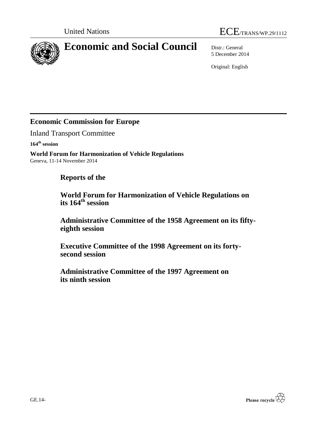



# **Economic and Social Council** Distr.: General

5 December 2014

Original: English

# **Economic Commission for Europe**

Inland Transport Committee

**164 th session**

**World Forum for Harmonization of Vehicle Regulations** Geneva, 11-14 November 2014

# **Reports of the**

**World Forum for Harmonization of Vehicle Regulations on its 164 th session**

**Administrative Committee of the 1958 Agreement on its fiftyeighth session**

**Executive Committee of the 1998 Agreement on its fortysecond session**

**Administrative Committee of the 1997 Agreement on its ninth session**

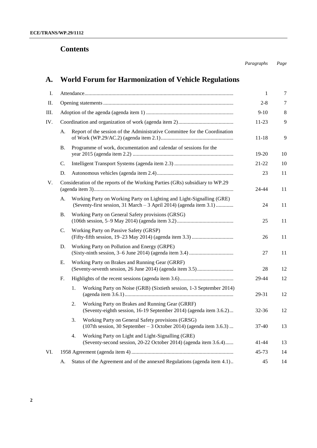# **Contents**

*Paragraphs Page*

# **A. World Forum for Harmonization of Vehicle Regulations**

| I.          |    |                                                                                                                                             | $\mathbf{1}$ | 7  |
|-------------|----|---------------------------------------------------------------------------------------------------------------------------------------------|--------------|----|
| II.         |    |                                                                                                                                             | $2 - 8$      | 7  |
| Ш.          |    |                                                                                                                                             | $9-10$       | 8  |
| IV.         |    |                                                                                                                                             | 11-23        | 9  |
|             | А. | Report of the session of the Administrative Committee for the Coordination                                                                  | 11-18        | 9  |
|             | Β. | Programme of work, documentation and calendar of sessions for the                                                                           | 19-20        | 10 |
|             | C. |                                                                                                                                             | $21 - 22$    | 10 |
|             | D. |                                                                                                                                             | 23           | 11 |
| $V_{\cdot}$ |    | Consideration of the reports of the Working Parties (GRs) subsidiary to WP.29                                                               | 24-44        | 11 |
|             | А. | Working Party on Working Party on Lighting and Light-Signalling (GRE)<br>(Seventy-first session, 31 March - 3 April 2014) (agenda item 3.1) | 24           | 11 |
|             | В. | Working Party on General Safety provisions (GRSG)                                                                                           | 25           | 11 |
|             | C. | Working Party on Passive Safety (GRSP)                                                                                                      | 26           | 11 |
|             | D. | Working Party on Pollution and Energy (GRPE)                                                                                                | 27           | 11 |
|             | Е. | Working Party on Brakes and Running Gear (GRRF)                                                                                             | 28           | 12 |
|             | F. |                                                                                                                                             | 29-44        | 12 |
|             |    | Working Party on Noise (GRB) (Sixtieth session, 1-3 September 2014)<br>1.                                                                   | 29-31        | 12 |
|             |    | Working Party on Brakes and Running Gear (GRRF)<br>2.<br>(Seventy-eighth session, 16-19 September 2014) (agenda item 3.6.2)                 | $32 - 36$    | 12 |
|             |    | 3.<br>Working Party on General Safety provisions (GRSG)<br>$(107th$ session, 30 September – 3 October 2014) (agenda item 3.6.3)             | $37-40$      | 13 |
|             |    | 4.<br>Working Party on Light and Light-Signalling (GRE)<br>(Seventy-second session, 20-22 October 2014) (agenda item 3.6.4)                 | 41-44        | 13 |
| VI.         |    |                                                                                                                                             | $45 - 73$    | 14 |
|             | А. | Status of the Agreement and of the annexed Regulations (agenda item 4.1)                                                                    | 45           | 14 |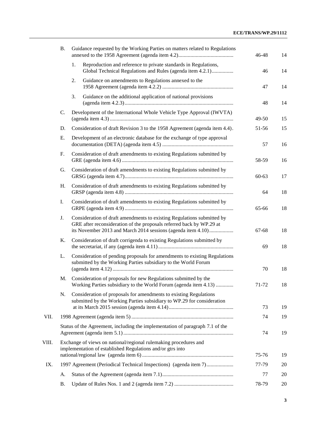|       | <b>B.</b> |    | Guidance requested by the Working Parties on matters related to Regulations                                                                                                                                    | 46-48       | 14       |
|-------|-----------|----|----------------------------------------------------------------------------------------------------------------------------------------------------------------------------------------------------------------|-------------|----------|
|       |           | 1. | Reproduction and reference to private standards in Regulations,<br>Global Technical Regulations and Rules (agenda item 4.2.1)                                                                                  | 46          | 14       |
|       |           | 2. | Guidance on amendments to Regulations annexed to the                                                                                                                                                           | 47          | 14       |
|       |           | 3. | Guidance on the additional application of national provisions                                                                                                                                                  | 48          | 14       |
|       | C.        |    | Development of the International Whole Vehicle Type Approval (IWVTA)                                                                                                                                           | 49-50       | 15       |
|       | D.        |    | Consideration of draft Revision 3 to the 1958 Agreement (agenda item 4.4).                                                                                                                                     | 51-56       | 15       |
|       | Ε.        |    | Development of an electronic database for the exchange of type approval                                                                                                                                        | 57          | 16       |
|       | F.        |    | Consideration of draft amendments to existing Regulations submitted by                                                                                                                                         | 58-59       | 16       |
|       | G.        |    | Consideration of draft amendments to existing Regulations submitted by                                                                                                                                         | $60 - 63$   | 17       |
|       | Η.        |    | Consideration of draft amendments to existing Regulations submitted by                                                                                                                                         | 64          | 18       |
|       | Ι.        |    | Consideration of draft amendments to existing Regulations submitted by                                                                                                                                         | 65-66       | 18       |
|       | J.        |    | Consideration of draft amendments to existing Regulations submitted by<br>GRE after reconsideration of the proposals referred back by WP.29 at<br>its November 2013 and March 2014 sessions (agenda item 4.10) | 67-68       | 18       |
|       | K.        |    | Consideration of draft corrigenda to existing Regulations submitted by                                                                                                                                         | 69          | 18       |
|       | L.        |    | Consideration of pending proposals for amendments to existing Regulations<br>submitted by the Working Parties subsidiary to the World Forum                                                                    | 70          | 18       |
|       | M.        |    | Consideration of proposals for new Regulations submitted by the<br>Working Parties subsidiary to the World Forum (agenda item 4.13)                                                                            | 71-72       | 18       |
|       | N.        |    | Consideration of proposals for amendments to existing Regulations<br>submitted by the Working Parties subsidiary to WP.29 for consideration                                                                    |             |          |
|       |           |    |                                                                                                                                                                                                                | 73          | 19       |
| VII.  |           |    |                                                                                                                                                                                                                | 74          | 19       |
|       |           |    | Status of the Agreement, including the implementation of paragraph 7.1 of the                                                                                                                                  | 74          | 19       |
| VIII. |           |    | Exchange of views on national/regional rulemaking procedures and<br>implementation of established Regulations and/or gtrs into                                                                                 | 75-76       | 19       |
|       |           |    |                                                                                                                                                                                                                |             |          |
| IX.   |           |    | 1997 Agreement (Periodical Technical Inspections) (agenda item 7)                                                                                                                                              | 77-79       | 20       |
|       | A.<br>Β.  |    |                                                                                                                                                                                                                | 77<br>78-79 | 20<br>20 |
|       |           |    |                                                                                                                                                                                                                |             |          |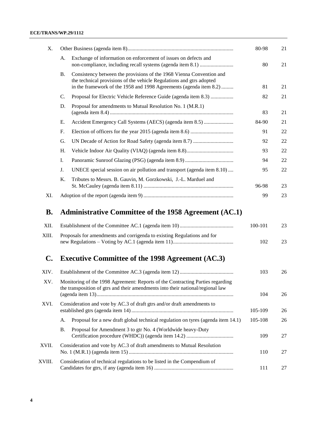#### **ECE/TRANS/WP.29/1112**

| Х.             |                                                                                                                                                                                                                                 | 80-98   | 21 |
|----------------|---------------------------------------------------------------------------------------------------------------------------------------------------------------------------------------------------------------------------------|---------|----|
|                | Exchange of information on enforcement of issues on defects and<br>А.                                                                                                                                                           | 80      | 21 |
|                | Consistency between the provisions of the 1968 Vienna Convention and<br><b>B.</b><br>the technical provisions of the vehicle Regulations and gtrs adopted<br>in the framework of the 1958 and 1998 Agreements (agenda item 8.2) | 81      | 21 |
|                | Proposal for Electric Vehicle Reference Guide (agenda item 8.3)<br>$\mathbf{C}$ .                                                                                                                                               | 82      | 21 |
|                | D.<br>Proposal for amendments to Mutual Resolution No. 1 (M.R.1)                                                                                                                                                                | 83      | 21 |
|                | Accident Emergency Call Systems (AECS) (agenda item 8.5)<br>Е.                                                                                                                                                                  | 84-90   | 21 |
|                | F.                                                                                                                                                                                                                              | 91      | 22 |
|                | G.                                                                                                                                                                                                                              | 92      | 22 |
|                | Η.                                                                                                                                                                                                                              | 93      | 22 |
|                | Ι.                                                                                                                                                                                                                              | 94      | 22 |
|                | J.<br>UNECE special session on air pollution and transport (agenda item 8.10)                                                                                                                                                   | 95      | 22 |
|                | Tributes to Messrs. B. Gauvin, M. Gorzkowski, J.-L. Marduel and<br>Κ.                                                                                                                                                           | 96-98   | 23 |
| XI.            |                                                                                                                                                                                                                                 | 99      | 23 |
| <b>B.</b>      | Administrative Committee of the 1958 Agreement (AC.1)                                                                                                                                                                           |         |    |
| XII.           |                                                                                                                                                                                                                                 | 100-101 | 23 |
| XIII.          | Proposals for amendments and corrigenda to existing Regulations and for                                                                                                                                                         | 102     | 23 |
| $\mathbf{C}$ . | <b>Executive Committee of the 1998 Agreement (AC.3)</b>                                                                                                                                                                         |         |    |
| XIV.           |                                                                                                                                                                                                                                 | 103     | 26 |
| XV.            | Monitoring of the 1998 Agreement: Reports of the Contracting Parties regarding<br>the transposition of gtrs and their amendments into their national/regional law                                                               | 104     | 26 |
| XVI.           | Consideration and vote by AC.3 of draft gtrs and/or draft amendments to                                                                                                                                                         | 105-109 | 26 |
|                | Proposal for a new draft global technical regulation on tyres (agenda item 14.1)<br>A.                                                                                                                                          | 105-108 | 26 |
|                | <b>B.</b><br>Proposal for Amendment 3 to gtr No. 4 (Worldwide heavy-Duty                                                                                                                                                        | 109     | 27 |
| XVII.          | Consideration and vote by AC.3 of draft amendments to Mutual Resolution                                                                                                                                                         | 110     | 27 |

XVIII. [Consideration of technical regulations to be listed in the Compendium of](#page-26-2)  [Candidates for gtrs, if any \(agenda item 16\)](#page-26-2) ........................................................... 111 27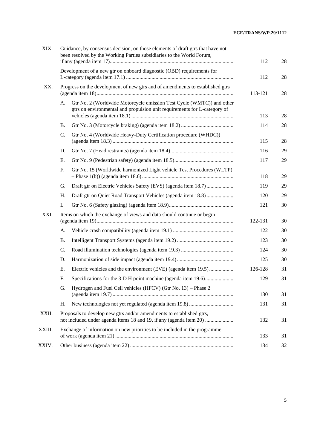| XIX.   |                                                                               | Guidance, by consensus decision, on those elements of draft gtrs that have not<br>been resolved by the Working Parties subsidiaries to the World Forum, | 112     | 28 |
|--------|-------------------------------------------------------------------------------|---------------------------------------------------------------------------------------------------------------------------------------------------------|---------|----|
|        |                                                                               | Development of a new gtr on onboard diagnostic (OBD) requirements for                                                                                   | 112     | 28 |
| XX.    | Progress on the development of new gtrs and of amendments to established gtrs | 113-121                                                                                                                                                 | 28      |    |
|        | A.                                                                            | Gtr No. 2 (Worldwide Motorcycle emission Test Cycle (WMTC)) and other<br>gtrs on environmental and propulsion unit requirements for L-category of       | 113     | 28 |
|        | <b>B.</b>                                                                     |                                                                                                                                                         | 114     | 28 |
|        | $\mathbf{C}$ .                                                                | Gtr No. 4 (Worldwide Heavy-Duty Certification procedure (WHDC))                                                                                         |         |    |
|        |                                                                               |                                                                                                                                                         | 115     | 28 |
|        | D.                                                                            |                                                                                                                                                         | 116     | 29 |
|        | E.                                                                            |                                                                                                                                                         | 117     | 29 |
|        | F.                                                                            | Gtr No. 15 (Worldwide harmonized Light vehicle Test Procedures (WLTP)                                                                                   | 118     | 29 |
|        | G.                                                                            | Draft gtr on Electric Vehicles Safety (EVS) (agenda item 18.7)                                                                                          | 119     | 29 |
|        | Η.                                                                            | Draft gtr on Quiet Road Transport Vehicles (agenda item 18.8)                                                                                           | 120     | 29 |
|        | Ι.                                                                            |                                                                                                                                                         | 121     | 30 |
| XXI.   |                                                                               | Items on which the exchange of views and data should continue or begin                                                                                  | 122-131 | 30 |
|        | A.                                                                            |                                                                                                                                                         | 122     | 30 |
|        | <b>B.</b>                                                                     |                                                                                                                                                         | 123     | 30 |
|        | C.                                                                            |                                                                                                                                                         | 124     | 30 |
|        | D.                                                                            |                                                                                                                                                         | 125     | 30 |
|        | Е.                                                                            | Electric vehicles and the environment (EVE) (agenda item 19.5)                                                                                          | 126-128 | 31 |
|        | F.                                                                            | Specifications for the 3-D H point machine (agenda item 19.6)                                                                                           | 129     | 31 |
|        | G.                                                                            | Hydrogen and Fuel Cell vehicles (HFCV) (Gtr No. 13) - Phase 2                                                                                           | 130     | 31 |
|        | Η.                                                                            |                                                                                                                                                         | 131     | 31 |
| XXII.  |                                                                               | Proposals to develop new gtrs and/or amendments to established gtrs,<br>not included under agenda items 18 and 19, if any (agenda item 20)              | 132     | 31 |
| XXIII. |                                                                               | Exchange of information on new priorities to be included in the programme                                                                               | 133     | 31 |
| XXIV.  |                                                                               |                                                                                                                                                         | 134     | 32 |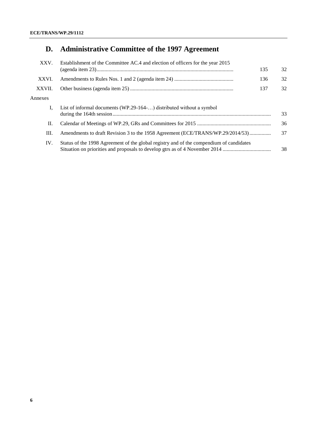# **D. [Administrative Committee of the 1997 Agreement](#page-31-1)**

| XXV.    | Establishment of the Committee AC.4 and election of officers for the year 2015                | 135 | 32 |  |  |  |
|---------|-----------------------------------------------------------------------------------------------|-----|----|--|--|--|
| XXVI.   |                                                                                               | 136 | 32 |  |  |  |
| XXVII.  | 137                                                                                           |     |    |  |  |  |
| Annexes |                                                                                               |     |    |  |  |  |
|         | List of informal documents (WP.29-164-) distributed without a symbol                          |     | 33 |  |  |  |
| П.      |                                                                                               |     | 36 |  |  |  |
| Ш.      | Amendments to draft Revision 3 to the 1958 Agreement (ECE/TRANS/WP.29/2014/53)                |     | 37 |  |  |  |
| IV.     | Status of the 1998 Agreement of the global registry and of the compendium of candidates<br>38 |     |    |  |  |  |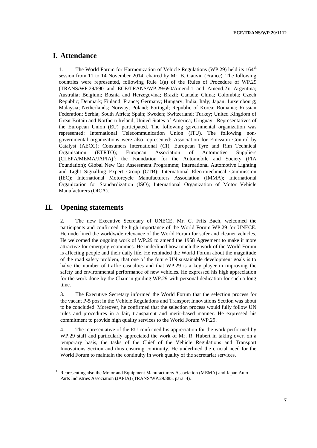# <span id="page-6-0"></span>**I. Attendance**

1. The World Forum for Harmonization of Vehicle Regulations (WP.29) held its 164<sup>th</sup> session from 11 to 14 November 2014, chaired by Mr. B. Gauvin (France). The following countries were represented, following Rule 1(a) of the Rules of Procedure of WP.29 (TRANS/WP.29/690 and ECE/TRANS/WP.29/690/Amend.1 and Amend.2): Argentina; Australia; Belgium; Bosnia and Herzegovina; Brazil; Canada; China; Colombia; Czech Republic; Denmark; Finland; France; Germany; Hungary; India; Italy; Japan; Luxembourg; Malaysia; Netherlands; Norway; Poland; Portugal; Republic of Korea; Romania; Russian Federation; Serbia; South Africa; Spain; Sweden; Switzerland; Turkey; United Kingdom of Great Britain and Northern Ireland; United States of America; Uruguay. Representatives of the European Union (EU) participated. The following governmental organization was represented: International Telecommunication Union (ITU). The following nongovernmental organizations were also represented: Association for Emission Control by Catalyst (AECC); Consumers International (CI); European Tyre and Rim Technical Organisation (ETRTO); European Association of Automotive Suppliers  $(CLEPA/MEMA/JAPIA)<sup>1</sup>$ ; the Foundation for the Automobile and Society (FIA Foundation); Global New Car Assessment Programme; International Automotive Lighting and Light Signalling Expert Group (GTB); International Electrotechnical Commission (IEC); International Motorcycle Manufacturers Association (IMMA); International Organization for Standardization (ISO); International Organization of Motor Vehicle Manufacturers (OICA).

### <span id="page-6-1"></span>**II. Opening statements**

2. The new Executive Secretary of UNECE, Mr. C. Friis Bach, welcomed the participants and confirmed the high importance of the World Forum WP.29 for UNECE. He underlined the worldwide relevance of the World Forum for safer and cleaner vehicles. He welcomed the ongoing work of WP.29 to amend the 1958 Agreement to make it more attractive for emerging economies. He underlined how much the work of the World Forum is affecting people and their daily life. He reminded the World Forum about the magnitude of the road safety problem, that one of the future UN sustainable development goals is to halve the number of traffic casualties and that WP.29 is a key player in improving the safety and environmental performance of new vehicles. He expressed his high appreciation for the work done by the Chair in guiding WP.29 with personal dedication for such a long time.

3. The Executive Secretary informed the World Forum that the selection process for the vacant P-5 post in the Vehicle Regulations and Transport Innovations Section was about to be concluded. Moreover, he confirmed that the selection process would fully follow UN rules and procedures in a fair, transparent and merit-based manner. He expressed his commitment to provide high quality services to the World Forum WP.29.

4. The representative of the EU confirmed his appreciation for the work performed by WP.29 staff and particularly appreciated the work of Mr. R. Hubert in taking over, on a temporary basis, the tasks of the Chief of the Vehicle Regulations and Transport Innovations Section and thus ensuring continuity. He underlined the crucial need for the World Forum to maintain the continuity in work quality of the secretariat services.

<sup>&</sup>lt;sup>1</sup> Representing also the Motor and Equipment Manufacturers Association (MEMA) and Japan Auto Parts Industries Association (JAPIA) (TRANS/WP.29/885, para. 4).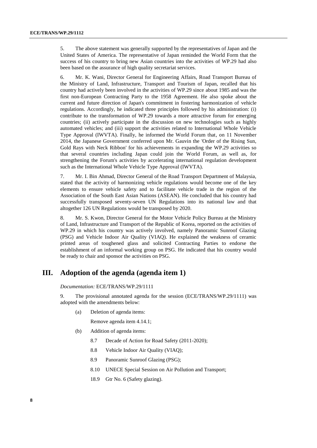5. The above statement was generally supported by the representatives of Japan and the United States of America. The representative of Japan reminded the World Form that the success of his country to bring new Asian countries into the activities of WP.29 had also been based on the assurance of high quality secretariat services.

6. Mr. K. Wani, Director General for Engineering Affairs, Road Transport Bureau of the Ministry of Land, Infrastructure, Transport and Tourism of Japan, recalled that his country had actively been involved in the activities of WP.29 since about 1985 and was the first non-European Contracting Party to the 1958 Agreement. He also spoke about the current and future direction of Japan's commitment in fostering harmonization of vehicle regulations. Accordingly, he indicated three principles followed by his administration: (i) contribute to the transformation of WP.29 towards a more attractive forum for emerging countries; (ii) actively participate in the discussion on new technologies such as highly automated vehicles; and (iii) support the activities related to International Whole Vehicle Type Approval (IWVTA). Finally, he informed the World Forum that, on 11 November 2014, the Japanese Government conferred upon Mr. Gauvin the 'Order of the Rising Sun, Gold Rays with Neck Ribbon' for his achievements in expanding the WP.29 activities so that several countries including Japan could join the World Forum, as well as, for strengthening the Forum's activities by accelerating international regulation development such as the International Whole Vehicle Type Approval (IWVTA).

7. Mr. I. Bin Ahmad, Director General of the Road Transport Department of Malaysia, stated that the activity of harmonizing vehicle regulations would become one of the key elements to ensure vehicle safety and to facilitate vehicle trade in the region of the Association of the South East Asian Nations (ASEAN). He concluded that his country had successfully transposed seventy-seven UN Regulations into its national law and that altogether 126 UN Regulations would be transposed by 2020.

8. Mr. S. Kwon, Director General for the Motor Vehicle Policy Bureau at the Ministry of Land, Infrastructure and Transport of the Republic of Korea, reported on the activities of WP.29 in which his country was actively involved, namely Panoramic Sunroof Glazing (PSG) and Vehicle Indoor Air Quality (VIAQ). He explained the weakness of ceramic printed areas of toughened glass and solicited Contracting Parties to endorse the establishment of an informal working group on PSG. He indicated that his country would be ready to chair and sponsor the activities on PSG.

# <span id="page-7-0"></span>**III. Adoption of the agenda (agenda item 1)**

*Documentation:* ECE/TRANS/WP.29/1111

9. The provisional annotated agenda for the session (ECE/TRANS/WP.29/1111) was adopted with the amendments below:

(a) Deletion of agenda items:

Remove agenda item 4.14.1;

- (b) Addition of agenda items:
	- 8.7 Decade of Action for Road Safety (2011-2020);
	- 8.8 Vehicle Indoor Air Quality (VIAQ);
	- 8.9 Panoramic Sunroof Glazing (PSG);
	- 8.10 UNECE Special Session on Air Pollution and Transport;
	- 18.9 Gtr No. 6 (Safety glazing).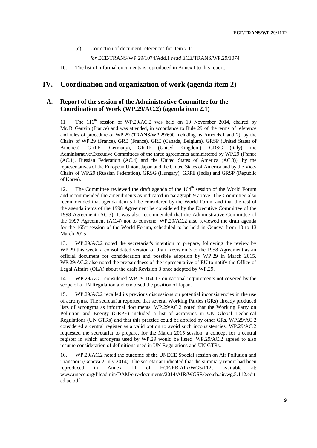(c) Correction of document references for item 7.1:

*for* ECE/TRANS/WP.29/1074/Add.1 *read* ECE/TRANS/WP.29/1074

10. The list of informal documents is reproduced in Annex I to this report.

# <span id="page-8-0"></span>**IV. Coordination and organization of work (agenda item 2)**

#### <span id="page-8-1"></span>**A. Report of the session of the Administrative Committee for the Coordination of Work (WP.29/AC.2) (agenda item 2.1)**

11. The 116<sup>th</sup> session of WP.29/AC.2 was held on 10 November 2014, chaired by Mr. B. Gauvin (France) and was attended, in accordance to Rule 29 of the terms of reference and rules of procedure of WP.29 (TRANS/WP.29/690 including its Amends.1 and 2), by the Chairs of WP.29 (France), GRB (France), GRE (Canada, Belgium), GRSP (United States of America), GRPE (Germany), GRRF (United Kingdom), GRSG (Italy), the Administrative/Executive Committees of the three agreements administered by WP.29 (France (AC.1), Russian Federation (AC.4) and the United States of America (AC.3)), by the representatives of the European Union, Japan and the United States of America and by the Vice-Chairs of WP.29 (Russian Federation), GRSG (Hungary), GRPE (India) and GRSP (Republic of Korea).

12. The Committee reviewed the draft agenda of the 164<sup>th</sup> session of the World Forum and recommended the amendments as indicated in paragraph 9 above. The Committee also recommended that agenda item 5.1 be considered by the World Forum and that the rest of the agenda items of the 1998 Agreement be considered by the Executive Committee of the 1998 Agreement (AC.3). It was also recommended that the Administrative Committee of the 1997 Agreement (AC.4) not to convene. WP.29/AC.2 also reviewed the draft agenda for the 165<sup>th</sup> session of the World Forum, scheduled to be held in Geneva from 10 to 13 March 2015.

13. WP.29/AC.2 noted the secretariat's intention to prepare, following the review by WP.29 this week, a consolidated version of draft Revision 3 to the 1958 Agreement as an official document for consideration and possible adoption by WP.29 in March 2015. WP.29/AC.2 also noted the preparedness of the representative of EU to notify the Office of Legal Affairs (OLA) about the draft Revision 3 once adopted by WP.29.

14. WP.29/AC.2 considered WP.29-164-13 on national requirements not covered by the scope of a UN Regulation and endorsed the position of Japan.

15. WP.29/AC.2 recalled its previous discussions on potential inconsistencies in the use of acronyms. The secretariat reported that several Working Parties (GRs) already produced lists of acronyms as informal documents. WP.29/AC.2 noted that the Working Party on Pollution and Energy (GRPE) included a list of acronyms in UN Global Technical Regulations (UN GTRs) and that this practice could be applied by other GRs. WP.29/AC.2 considered a central register as a valid option to avoid such inconsistencies. WP.29/AC.2 requested the secretariat to prepare, for the March 2015 session, a concept for a central register in which acronyms used by WP.29 would be listed. WP.29/AC.2 agreed to also resume consideration of definitions used in UN Regulations and UN GTRs.

16. WP.29/AC.2 noted the outcome of the UNECE Special session on Air Pollution and Transport (Geneva 2 July 2014). The secretariat indicated that the summary report had been reproduced in Annex III of ECE/EB.AIR/WG5/112, available at: [www.unece.org/fileadmin/DAM/env/documents/2014/AIR/WGSR/ece.eb.air.wg.5.112.edit](http://www.unece.org/fileadmin/DAM/env/documents/2014/AIR/WGSR/ece.eb.air.wg.5.112.edited.ae.pdf) [ed.ae.pdf](http://www.unece.org/fileadmin/DAM/env/documents/2014/AIR/WGSR/ece.eb.air.wg.5.112.edited.ae.pdf)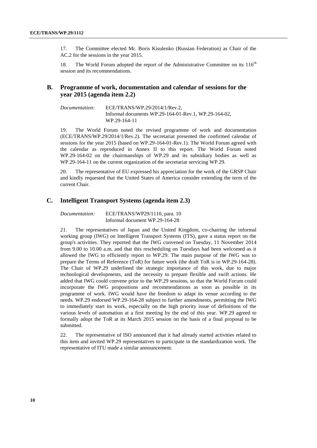17. The Committee elected Mr. Boris Kisulenko (Russian Federation) as Chair of the AC.2 for the sessions in the year 2015.

18. The World Forum adopted the report of the Administrative Committee on its  $116<sup>th</sup>$ session and its recommendations.

#### <span id="page-9-0"></span>**B. Programme of work, documentation and calendar of sessions for the year 2015 (agenda item 2.2)**

*Documentation:* ECE/TRANS/WP.29/2014/1/Rev.2, Informal documents WP.29-164-01-Rev.1, WP.29-164-02, WP.29-164-11

19. The World Forum noted the revised programme of work and documentation (ECE/TRANS/WP.29/2014/1/Rev.2). The secretariat presented the confirmed calendar of sessions for the year 2015 (based on WP.29-164-01-Rev.1). The World Forum agreed with the calendar as reproduced in Annex II to this report. The World Forum noted WP.29-164-02 on the chairmanships of WP.29 and its subsidiary bodies as well as WP.29-164-11 on the current organization of the secretariat servicing WP.29.

20. The representative of EU expressed his appreciation for the work of the GRSP Chair and kindly requested that the United States of America consider extending the term of the current Chair.

#### <span id="page-9-1"></span>**C. Intelligent Transport Systems (agenda item 2.3)**

*Documentation:* ECE/TRANS/WP29/1110, para. 10 Informal document WP.29-164-28

21. The representatives of Japan and the United Kingdom, co-chairing the informal working group (IWG) on Intelligent Transport Systems (ITS), gave a status report on the group's activities. They reported that the IWG convened on Tuesday, 11 November 2014 from 9.00 to 10.00 a.m. and that this rescheduling on Tuesdays had been welcomed as it allowed the IWG to efficiently report to WP.29. The main purpose of the IWG was to prepare the Terms of Reference (ToR) for future work (the draft ToR is in WP.29-164-28). The Chair of WP.29 underlined the strategic importance of this work, due to major technological developments, and the necessity to prepare flexible and swift actions. He added that IWG could convene prior to the WP.29 sessions, so that the World Forum could incorporate the IWG propositions and recommendations as soon as possible in its programme of work. IWG would have the freedom to adapt its venue according to the needs. WP.29 endorsed WP.29-164-28 subject to further amendments, permitting the IWG to immediately start its work, especially on the high priority issue of definitions of the various levels of automation at a first meeting by the end of this year. WP.29 agreed to formally adopt the ToR at its March 2015 session on the basis of a final proposal to be submitted.

22. The representative of ISO announced that it had already started activities related to this item and invited WP.29 representatives to participate in the standardization work. The representative of ITU made a similar announcement.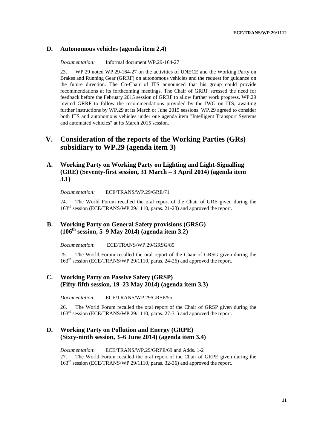### <span id="page-10-0"></span>**D. Autonomous vehicles (agenda item 2.4)**

*Documentation:* Informal document WP.29-164-27

23. WP.29 noted WP.29-164-27 on the activities of UNECE and the Working Party on Brakes and Running Gear (GRRF) on autonomous vehicles and the request for guidance on the future direction. The Co-Chair of ITS announced that his group could provide recommendations at its forthcoming meetings. The Chair of GRRF stressed the need for feedback before the February 2015 session of GRRF to allow further work progress. WP.29 invited GRRF to follow the recommendations provided by the IWG on ITS, awaiting further instructions by WP.29 at its March or June 2015 sessions. WP.29 agreed to consider both ITS and autonomous vehicles under one agenda item "Intelligent Transport Systems and automated vehicles" at its March 2015 session.

# <span id="page-10-1"></span>**V. Consideration of the reports of the Working Parties (GRs) subsidiary to WP.29 (agenda item 3)**

### <span id="page-10-2"></span>**A. Working Party on Working Party on Lighting and Light-Signalling (GRE) (Seventy-first session, 31 March – 3 April 2014) (agenda item 3.1)**

*Documentation:* ECE/TRANS/WP.29/GRE/71

The World Forum recalled the oral report of the Chair of GRE given during the 163<sup>rd</sup> session (ECE/TRANS/WP.29/1110, paras. 21-23) and approved the report.

### <span id="page-10-3"></span>**B. Working Party on General Safety provisions (GRSG) (106th session, 5–9 May 2014) (agenda item 3.2)**

*Documentation*: ECE/TRANS/WP.29/GRSG/85

25. The World Forum recalled the oral report of the Chair of GRSG given during the 163<sup>rd</sup> session (ECE/TRANS/WP.29/1110, paras. 24-26) and approved the report.

### <span id="page-10-4"></span>**C. Working Party on Passive Safety (GRSP) (Fifty-fifth session, 19–23 May 2014) (agenda item 3.3)**

*Documentation*: ECE/TRANS/WP.29/GRSP/55

26. The World Forum recalled the oral report of the Chair of GRSP given during the 163<sup>rd</sup> session (ECE/TRANS/WP.29/1110, paras. 27-31) and approved the report.

### <span id="page-10-5"></span>**D. Working Party on Pollution and Energy (GRPE) (Sixty-ninth session, 3–6 June 2014) (agenda item 3.4)**

*Documentation*: ECE/TRANS/WP.29/GRPE/69 and Adds. 1-2 27. The World Forum recalled the oral report of the Chair of GRPE given during the 163rd session (ECE/TRANS/WP.29/1110, paras. 32-36) and approved the report.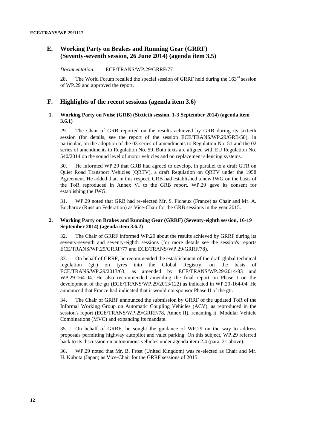### <span id="page-11-0"></span>**E. Working Party on Brakes and Running Gear (GRRF) (Seventy-seventh session, 26 June 2014) (agenda item 3.5)**

<span id="page-11-1"></span>*Documentation*: ECE/TRANS/WP.29/GRRF/77

28. The World Forum recalled the special session of GRRF held during the  $163<sup>rd</sup>$  session of WP.29 and approved the report.

#### <span id="page-11-2"></span>**F. Highlights of the recent sessions (agenda item 3.6)**

#### <span id="page-11-3"></span>**1. Working Party on Noise (GRB) (Sixtieth session, 1-3 September 2014) (agenda item 3.6.1)**

29. The Chair of GRB reported on the results achieved by GRB during its sixtieth session (for details, see the report of the session ECE/TRANS/WP.29/GRB/58), in particular, on the adoption of the 03 series of amendments to Regulation No. 51 and the 02 series of amendments to Regulation No. 59. Both texts are aligned with EU Regulation No. 540/2014 on the sound level of motor vehicles and on replacement silencing systems.

30. He informed WP.29 that GRB had agreed to develop, in parallel to a draft GTR on Quiet Road Transport Vehicles (QRTV), a draft Regulation on QRTV under the 1958 Agreement. He added that, in this respect, GRB had established a new IWG on the basis of the ToR reproduced in Annex VI to the GRB report. WP.29 gave its consent for establishing the IWG.

31. WP.29 noted that GRB had re-elected Mr. S. Ficheux (France) as Chair and Mr. A. Bocharov (Russian Federation) as Vice-Chair for the GRB sessions in the year 2015.

#### <span id="page-11-4"></span>**2. Working Party on Brakes and Running Gear (GRRF) (Seventy-eighth session, 16-19 September 2014) (agenda item 3.6.2)**

32. The Chair of GRRF informed WP.29 about the results achieved by GRRF during its seventy-seventh and seventy-eighth sessions (for more details see the session's reports ECE/TRANS/WP.29/GRRF/77 and ECE/TRANS/WP.29/GRRF/78).

33. On behalf of GRRF, he recommended the establishment of the draft global technical regulation (gtr) on tyres into the Global Registry, on the basis of ECE/TRANS/WP.29/2013/63, as amended by ECE/TRANS/WP.29/2014/83 and WP.29-164-04. He also recommended amending the final report on Phase I on the development of the gtr (ECE/TRANS/WP.29/2013/122) as indicated in WP.29-164-04. He announced that France had indicated that it would not sponsor Phase II of the gtr.

34. The Chair of GRRF announced the submission by GRRF of the updated ToR of the Informal Working Group on Automatic Coupling Vehicles (ACV), as reproduced in the session's report (ECE/TRANS/WP.29/GRRF/78, Annex II), renaming it Modular Vehicle Combinations (MVC) and expanding its mandate.

35. On behalf of GRRF, he sought the guidance of WP.29 on the way to address proposals permitting highway autopilot and valet parking. On this subject, WP.29 referred back to its discussion on autonomous vehicles under agenda item 2.4 (para. 21 above).

36. WP.29 noted that Mr. B. Frost (United Kingdom) was re-elected as Chair and Mr. H. Kubota (Japan) as Vice-Chair for the GRRF sessions of 2015.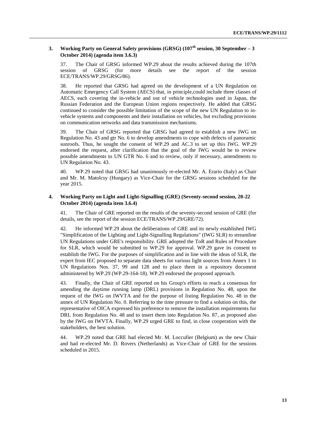#### <span id="page-12-0"></span>**3. Working Party on General Safety provisions (GRSG) (107th session, 30 September – 3 October 2014) (agenda item 3.6.3)**

37. The Chair of GRSG informed WP.29 about the results achieved during the 107th session of GRSG (for more details see the report of the session session of GRSG (for more details see the report of the session ECE/TRANS/WP.29/GRSG/86).

38. He reported that GRSG had agreed on the development of a UN Regulation on Automatic Emergency Call System (AECS) that, in principle,could include three classes of AECS, each covering the in-vehicle and out of vehicle technologies used in Japan, the Russian Federation and the European Union regions respectively. He added that GRSG continued to consider the possible limitation of the scope of the new UN Regulation to invehicle systems and components and their installation on vehicles, but excluding provisions on communication networks and data transmission mechanisms.

39. The Chair of GRSG reported that GRSG had agreed to establish a new IWG on Regulation No. 43 and gtr No. 6 to develop amendments to cope with defects of panoramic sunroofs. Thus, he sought the consent of WP.29 and AC.3 to set up this IWG. WP.29 endorsed the request, after clarification that the goal of the IWG would be to review possible amendments to UN GTR No. 6 and to review, only if necessary, amendments to UN Regulation No. 43.

WP.29 noted that GRSG had unanimously re-elected Mr. A. Erario (Italy) as Chair and Mr. M. Matolcsy (Hungary) as Vice-Chair for the GRSG sessions scheduled for the year 2015.

#### <span id="page-12-1"></span>**4. Working Party on Light and Light-Signalling (GRE) (Seventy-second session, 20-22 October 2014) (agenda item 3.6.4)**

41. The Chair of GRE reported on the results of the seventy-second session of GRE (for details, see the report of the session ECE/TRANS/WP.29/GRE/72).

42. He informed WP.29 about the deliberations of GRE and its newly established IWG "Simplification of the Lighting and Light-Signalling Regulations" (IWG SLR) to streamline UN Regulations under GRE's responsibility. GRE adopted the ToR and Rules of Procedure for SLR, which would be submitted to WP.29 for approval. WP.29 gave its consent to establish the IWG. For the purposes of simplification and in line with the ideas of SLR, the expert from IEC proposed to separate data sheets for various light sources from Annex 1 to UN Regulations Nos. 37, 99 and 128 and to place them in a repository document administered by WP.29 (WP.29-164-18). WP.29 endorsed the proposed approach.

43. Finally, the Chair of GRE reported on his Group's efforts to reach a consensus for amending the daytime running lamp (DRL) provisions in Regulation No. 48, upon the request of the IWG on IWVTA and for the purpose of listing Regulation No. 48 in the annex of UN Regulation No. 0. Referring to the time pressure to find a solution on this, the representative of OICA expressed his preference to remove the installation requirements for DRL from Regulation No. 48 and to insert them into Regulation No. 87, as proposed also by the IWG on IWVTA. Finally, WP.29 urged GRE to find, in close cooperation with the stakeholders, the best solution.

44. WP.29 noted that GRE had elected Mr. M. Loccufier (Belgium) as the new Chair and had re-elected Mr. D. Rovers (Netherlands) as Vice-Chair of GRE for the sessions scheduled in 2015.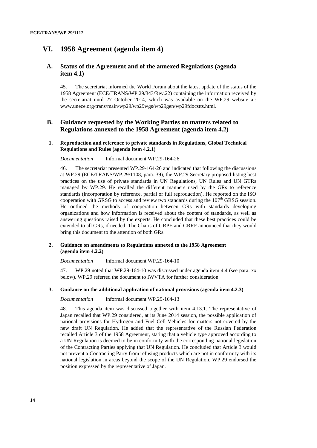### <span id="page-13-0"></span>**VI. 1958 Agreement (agenda item 4)**

#### <span id="page-13-1"></span>**A. Status of the Agreement and of the annexed Regulations (agenda item 4.1)**

45. The secretariat informed the World Forum about the latest update of the status of the 1958 Agreement (ECE/TRANS/WP.29/343/Rev.22) containing the information received by the secretariat until 27 October 2014, which was available on the WP.29 website at: [www.unece.org/trans/main/wp29/wp29wgs/wp29gen/wp29fdocstts.html.](http://www.unece.org/trans/main/wp29/wp29wgs/wp29gen/wp29fdocstts.html)

#### <span id="page-13-2"></span>**B. Guidance requested by the Working Parties on matters related to Regulations annexed to the 1958 Agreement (agenda item 4.2)**

#### <span id="page-13-3"></span>**1. Reproduction and reference to private standards in Regulations, Global Technical Regulations and Rules (agenda item 4.2.1)**

#### *Documentation* Informal document WP.29-164-26

46. The secretariat presented WP.29-164-26 and indicated that following the discussions at WP.29 (ECE/TRANS/WP.29/1108, para. 39), the WP.29 Secretary proposed listing best practices on the use of private standards in UN Regulations, UN Rules and UN GTRs managed by WP.29. He recalled the different manners used by the GRs to reference standards (incorporation by reference, partial or full reproduction). He reported on the ISO cooperation with GRSG to access and review two standards during the  $107<sup>th</sup>$  GRSG session. He outlined the methods of cooperation between GRs with standards developing organizations and how information is received about the content of standards, as well as answering questions raised by the experts. He concluded that these best practices could be extended to all GRs, if needed. The Chairs of GRPE and GRRF announced that they would bring this document to the attention of both GRs.

#### <span id="page-13-4"></span>**2. Guidance on amendments to Regulations annexed to the 1958 Agreement (agenda item 4.2.2)**

*Documentation* Informal document WP.29-164-10

47. WP.29 noted that WP.29-164-10 was discussed under agenda item 4.4 (see para. xx below). WP.29 referred the document to IWVTA for further consideration.

#### <span id="page-13-5"></span>**3. Guidance on the additional application of national provisions (agenda item 4.2.3)**

*Documentation* Informal document WP.29-164-13

48. This agenda item was discussed together with item 4.13.1. The representative of Japan recalled that WP.29 considered, at its June 2014 session, the possible application of national provisions for Hydrogen and Fuel Cell Vehicles for matters not covered by the new draft UN Regulation. He added that the representative of the Russian Federation recalled Article 3 of the 1958 Agreement, stating that a vehicle type approved according to a UN Regulation is deemed to be in conformity with the corresponding national legislation of the Contracting Parties applying that UN Regulation. He concluded that Article 3 would not prevent a Contracting Party from refusing products which are not in conformity with its national legislation in areas beyond the scope of the UN Regulation. WP.29 endorsed the position expressed by the representative of Japan.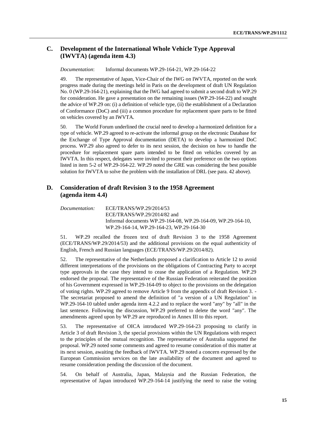### <span id="page-14-0"></span>**C. Development of the International Whole Vehicle Type Approval (IWVTA) (agenda item 4.3)**

*Documentation*: Informal documents WP.29-164-21, WP.29-164-22

49. The representative of Japan, Vice-Chair of the IWG on IWVTA, reported on the work progress made during the meetings held in Paris on the development of draft UN Regulation No. 0 (WP.29-164-21), explaining that the IWG had agreed to submit a second draft to WP.29 for consideration. He gave a presentation on the remaining issues (WP.29-164-22) and sought the advice of WP.29 on: (i) a definition of vehicle type, (ii) the establishment of a Declaration of Conformance (DoC) and (iii) a common procedure for replacement spare parts to be fitted on vehicles covered by an IWVTA.

50. The World Forum underlined the crucial need to develop a harmonized definition for a type of vehicle. WP.29 agreed to re-activate the informal group on the electronic Database for the Exchange of Type Approval documentation (DETA) to develop a harmonized DoC process. WP.29 also agreed to defer to its next session, the decision on how to handle the procedure for replacement spare parts intended to be fitted on vehicles covered by an IWVTA. In this respect, delegates were invited to present their preference on the two options listed in item 5-2 of WP.29-164-22. WP.29 noted the GRE was considering the best possible solution for IWVTA to solve the problem with the installation of DRL (see para. 42 above).

### <span id="page-14-1"></span>**D. Consideration of draft Revision 3 to the 1958 Agreement (agenda item 4.4)**

*Documentation:* ECE/TRANS/WP.29/2014/53 ECE/TRANS/WP.29/2014/82 and Informal documents WP.29-164-08, WP.29-164-09, WP.29-164-10, WP.29-164-14, WP.29-164-23, WP.29-164-30

51. WP.29 recalled the frozen text of draft Revision 3 to the 1958 Agreement (ECE/TRANS/WP.29/2014/53) and the additional provisions on the equal authenticity of English, French and Russian languages (ECE/TRANS/WP.29/2014/82).

52. The representative of the Netherlands proposed a clarification to Article 12 to avoid different interpretations of the provisions on the obligations of Contracting Party to accept type approvals in the case they intend to cease the application of a Regulation. WP.29 endorsed the proposal. The representative of the Russian Federation reiterated the position of his Government expressed in WP.29-164-09 to object to the provisions on the delegation of voting rights. WP.29 agreed to remove Article 9 from the appendix of draft Revision 3. - The secretariat proposed to amend the definition of "a version of a UN Regulation" in WP.29-164-10 tabled under agenda item 4.2.2 and to replace the word "any" by "all" in the last sentence. Following the discussion, WP.29 preferred to delete the word "any". The amendments agreed upon by WP.29 are reproduced in Annex III to this report.

53. The representative of OICA introduced WP.29-164-23 proposing to clarify in Article 3 of draft Revision 3, the special provisions within the UN Regulations with respect to the principles of the mutual recognition. The representative of Australia supported the proposal. WP.29 noted some comments and agreed to resume consideration of this matter at its next session, awaiting the feedback of IWVTA. WP.29 noted a concern expressed by the European Commission services on the late availability of the document and agreed to resume consideration pending the discussion of the document.

54. On behalf of Australia, Japan, Malaysia and the Russian Federation, the representative of Japan introduced WP.29-164-14 justifying the need to raise the voting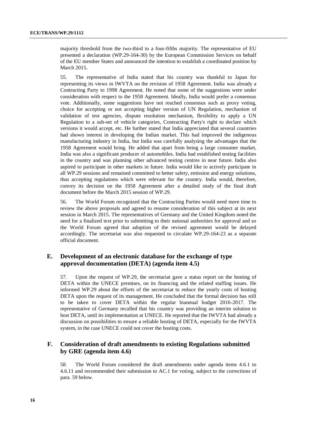majority threshold from the two-third to a four-fifths majority. The representative of EU presented a declaration (WP.29-164-30) by the European Commission Services on behalf of the EU member States and announced the intention to establish a coordinated position by March 2015.

55. The representative of India stated that his country was thankful to Japan for representing its views in IWVTA on the revision of 1958 Agreement. India was already a Contracting Party to 1998 Agreement. He noted that some of the suggestions were under consideration with respect to the 1958 Agreement. Ideally, India would prefer a consensus vote. Additionally, some suggestions have not reached consensus such as proxy voting, choice for accepting or not accepting higher version of UN Regulation, mechanism of validation of test agencies, dispute resolution mechanism, flexibility to apply a UN Regulation to a sub-set of vehicle categories, Contracting Party's right to declare which versions it would accept, etc. He further stated that India appreciated that several countries had shown interest in developing the Indian market. This had improved the indigenous manufacturing industry in India, but India was carefully analysing the advantages that the 1958 Agreement would bring. He added that apart from being a large consumer market, India was also a significant producer of automobiles. India had established testing facilities in the country and was planning other advanced testing centres in near future. India also aspired to participate in other markets in future. India would like to actively participate in all WP.29 sessions and remained committed to better safety, emission and energy solutions, thus accepting regulations which were relevant for the country. India would, therefore, convey its decision on the 1958 Agreement after a detailed study of the final draft document before the March 2015 session of WP.29.

56. The World Forum recognized that the Contracting Parties would need more time to review the above proposals and agreed to resume consideration of this subject at its next session in March 2015. The representatives of Germany and the United Kingdom noted the need for a finalized text prior to submitting to their national authorities for approval and so the World Forum agreed that adoption of the revised agreement would be delayed accordingly. The secretariat was also requested to circulate WP.29-164-23 as a separate official document.

#### <span id="page-15-0"></span>**E. Development of an electronic database for the exchange of type approval documentation (DETA) (agenda item 4.5)**

57. Upon the request of WP.29, the secretariat gave a status report on the hosting of DETA within the UNECE premises, on its financing and the related staffing issues. He informed WP.29 about the efforts of the secretariat to reduce the yearly costs of hosting DETA upon the request of its management. He concluded that the formal decision has still to be taken to cover DETA within the regular biannual budget 2016-2017. The representative of Germany recalled that his country was providing an interim solution to host DETA, until its implementation at UNECE. He reported that the IWVTA had already a discussion on possibilities to ensure a reliable hosting of DETA, especially for the IWVTA system, in the case UNECE could not cover the hosting costs.

### <span id="page-15-1"></span>**F. Consideration of draft amendments to existing Regulations submitted by GRE (agenda item 4.6)**

58. The World Forum considered the draft amendments under agenda items 4.6.1 to 4.6.11 and recommended their submission to AC.1 for voting, subject to the corrections of para. 59 below.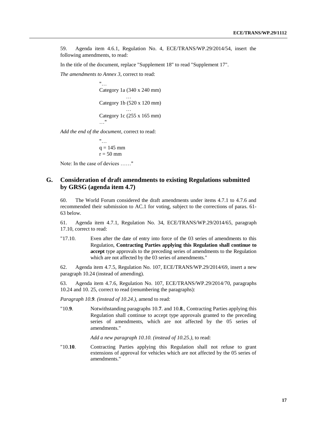59. Agenda item 4.6.1, Regulation No. 4, ECE/TRANS/WP.29/2014/54, insert the following amendments, to read:

In the title of the document, replace "Supplement 18" to read "Supplement 17".

*The amendments to Annex 3*, correct to read:

 $"$ … Category 1a (340 x 240 mm) … Category 1b (520 x 120 mm) … Category 1c (255 x 165 mm) …"

*Add the end of the document*, correct to read:

 $"$ …  $q = 145$  mm  $r = 50$  mm

Note: In the case of devices ……"

#### <span id="page-16-0"></span>**G. Consideration of draft amendments to existing Regulations submitted by GRSG (agenda item 4.7)**

60. The World Forum considered the draft amendments under items 4.7.1 to 4.7.6 and recommended their submission to AC.1 for voting, subject to the corrections of paras. 61- 63 below.

61. Agenda item 4.7.1, Regulation No. 34, ECE/TRANS/WP.29/2014/65, paragraph 17.10, correct to read:

"17.10. Even after the date of entry into force of the 03 series of amendments to this Regulation, **Contracting Parties applying this Regulation shall continue to accept** type approvals to the preceding series of amendments to the Regulation which are not affected by the 03 series of amendments."

62. Agenda item 4.7.5, Regulation No. 107, ECE/TRANS/WP.29/2014/69, insert a new paragraph 10.24 (instead of amending).

63. Agenda item 4.7.6, Regulation No. 107, ECE/TRANS/WP.29/2014/70, paragraphs 10.24 and 10. 25, correct to read (renumbering the paragraphs):

*Paragraph 10.9. (instead of 10.24.),* amend to read:

"10.**9**. Notwithstanding paragraphs 10.**7**. and 10.**8**., Contracting Parties applying this Regulation shall continue to accept type approvals granted to the preceding series of amendments, which are not affected by the 05 series of amendments."

*Add a new paragraph 10.10. (instead of 10.25.),* to read:

"10.**10**. Contracting Parties applying this Regulation shall not refuse to grant extensions of approval for vehicles which are not affected by the 05 series of amendments."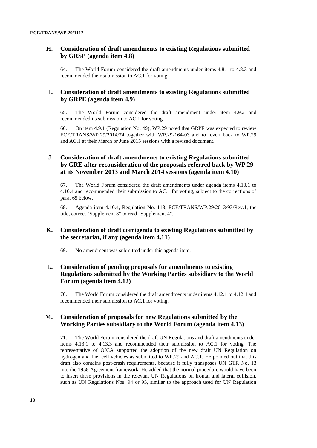### <span id="page-17-0"></span>**H. Consideration of draft amendments to existing Regulations submitted by GRSP (agenda item 4.8)**

64. The World Forum considered the draft amendments under items 4.8.1 to 4.8.3 and recommended their submission to AC.1 for voting.

### <span id="page-17-1"></span>**I. Consideration of draft amendments to existing Regulations submitted by GRPE (agenda item 4.9)**

65. The World Forum considered the draft amendment under item 4.9.2 and recommended its submission to AC.1 for voting.

66. On item 4.9.1 (Regulation No. 49), WP.29 noted that GRPE was expected to review ECE/TRANS/WP.29/2014/74 together with WP.29-164-03 and to revert back to WP.29 and AC.1 at their March or June 2015 sessions with a revised document.

### <span id="page-17-2"></span>**J. Consideration of draft amendments to existing Regulations submitted by GRE after reconsideration of the proposals referred back by WP.29 at its November 2013 and March 2014 sessions (agenda item 4.10)**

67. The World Forum considered the draft amendments under agenda items 4.10.1 to 4.10.4 and recommended their submission to AC.1 for voting, subject to the corrections of para. 65 below.

68. Agenda item 4.10.4, Regulation No. 113, ECE/TRANS/WP.29/2013/93/Rev.1, the title, correct "Supplement 3" to read "Supplement 4".

### <span id="page-17-3"></span>**K. Consideration of draft corrigenda to existing Regulations submitted by the secretariat, if any (agenda item 4.11)**

69. No amendment was submitted under this agenda item.

### <span id="page-17-4"></span>**L. Consideration of pending proposals for amendments to existing Regulations submitted by the Working Parties subsidiary to the World Forum (agenda item 4.12)**

70. The World Forum considered the draft amendments under items 4.12.1 to 4.12.4 and recommended their submission to AC.1 for voting.

### <span id="page-17-5"></span>**M. Consideration of proposals for new Regulations submitted by the Working Parties subsidiary to the World Forum (agenda item 4.13)**

71. The World Forum considered the draft UN Regulations and draft amendments under items 4.13.1 to 4.13.3 and recommended their submission to AC.1 for voting. The representative of OICA supported the adoption of the new draft UN Regulation on hydrogen and fuel cell vehicles as submitted to WP.29 and AC.1. He pointed out that this draft also contains post-crash requirements, because it fully transposes UN GTR No. 13 into the 1958 Agreement framework. He added that the normal procedure would have been to insert these provisions in the relevant UN Regulations on frontal and lateral collision, such as UN Regulations Nos. 94 or 95, similar to the approach used for UN Regulation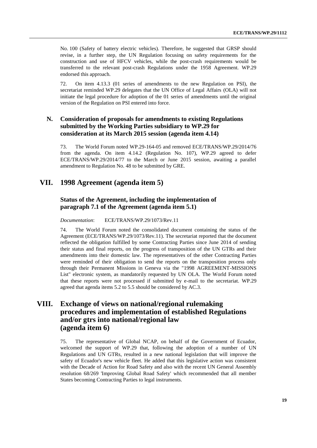No. 100 (Safety of battery electric vehicles). Therefore, he suggested that GRSP should revise, in a further step, the UN Regulation focusing on safety requirements for the construction and use of HFCV vehicles, while the post-crash requirements would be transferred to the relevant post-crash Regulations under the 1958 Agreement. WP.29 endorsed this approach.

72. On item 4.13.3 (01 series of amendments to the new Regulation on PSI), the secretariat reminded WP.29 delegates that the UN Office of Legal Affairs (OLA) will not initiate the legal procedure for adoption of the 01 series of amendments until the original version of the Regulation on PSI entered into force.

### <span id="page-18-0"></span>**N. Consideration of proposals for amendments to existing Regulations submitted by the Working Parties subsidiary to WP.29 for consideration at its March 2015 session (agenda item 4.14)**

73. The World Forum noted WP.29-164-05 and removed ECE/TRANS/WP.29/2014/76 from the agenda. On item 4.14.2 (Regulation No. 107), WP.29 agreed to defer ECE/TRANS/WP.29/2014/77 to the March or June 2015 session, awaiting a parallel amendment to Regulation No. 48 to be submitted by GRE.

# <span id="page-18-1"></span>**VII. 1998 Agreement (agenda item 5)**

#### <span id="page-18-2"></span>**Status of the Agreement, including the implementation of paragraph 7.1 of the Agreement (agenda item 5.1)**

*Documentation*: ECE/TRANS/WP.29/1073/Rev.11

74. The World Forum noted the consolidated document containing the status of the Agreement (ECE/TRANS/WP.29/1073/Rev.11). The secretariat reported that the document reflected the obligation fulfilled by some Contracting Parties since June 2014 of sending their status and final reports, on the progress of transposition of the UN GTRs and their amendments into their domestic law. The representatives of the other Contracting Parties were reminded of their obligation to send the reports on the transposition process only through their Permanent Missions in Geneva via the "1998 AGREEMENT-MISSIONS List" electronic system, as mandatorily requested by UN OLA. The World Forum noted that these reports were not processed if submitted by e-mail to the secretariat. WP.29 agreed that agenda items 5.2 to 5.5 should be considered by AC.3.

# <span id="page-18-3"></span>**VIII. Exchange of views on national/regional rulemaking procedures and implementation of established Regulations and/or gtrs into national/regional law (agenda item 6)**

75. The representative of Global NCAP, on behalf of the Government of Ecuador, welcomed the support of WP.29 that, following the adoption of a number of UN Regulations and UN GTRs, resulted in a new national legislation that will improve the safety of Ecuador's new vehicle fleet. He added that this legislative action was consistent with the Decade of Action for Road Safety and also with the recent UN General Assembly resolution 68/269 'Improving Global Road Safety' which recommended that all member States becoming Contracting Parties to legal instruments.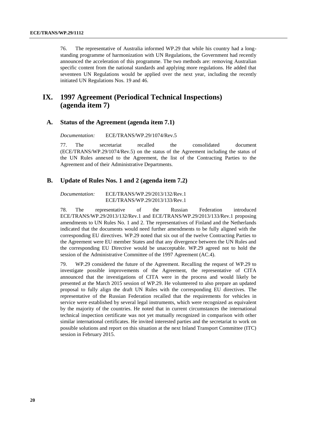76. The representative of Australia informed WP.29 that while his country had a longstanding programme of harmonization with UN Regulations, the Government had recently announced the acceleration of this programme. The two methods are: removing Australian specific content from the national standards and applying more regulations. He added that seventeen UN Regulations would be applied over the next year, including the recently initiated UN Regulations Nos. 19 and 46.

# <span id="page-19-0"></span>**IX. 1997 Agreement (Periodical Technical Inspections) (agenda item 7)**

#### <span id="page-19-1"></span>**A. Status of the Agreement (agenda item 7.1)**

*Documentation:* ECE/TRANS/WP.29/1074/Rev.5

77. The secretariat recalled the consolidated document (ECE/TRANS/WP.29/1074/Rev.5) on the status of the Agreement including the status of the UN Rules annexed to the Agreement, the list of the Contracting Parties to the Agreement and of their Administrative Departments.

#### <span id="page-19-2"></span>**B. Update of Rules Nos. 1 and 2 (agenda item 7.2)**

*Documentation:* ECE/TRANS/WP.29/2013/132/Rev.1 ECE/TRANS/WP.29/2013/133/Rev.1

78. The representative of the Russian Federation introduced ECE/TRANS/WP.29/2013/132/Rev.1 and ECE/TRANS/WP.29/2013/133/Rev.1 proposing amendments to UN Rules No. 1 and 2. The representatives of Finland and the Netherlands indicated that the documents would need further amendments to be fully aligned with the corresponding EU directives. WP.29 noted that six out of the twelve Contracting Parties to the Agreement were EU member States and that any divergence between the UN Rules and the corresponding EU Directive would be unacceptable. WP.29 agreed not to hold the session of the Administrative Committee of the 1997 Agreement (AC.4).

79. WP.29 considered the future of the Agreement. Recalling the request of WP.29 to investigate possible improvements of the Agreement, the representative of CITA announced that the investigations of CITA were in the process and would likely be presented at the March 2015 session of WP.29. He volunteered to also prepare an updated proposal to fully align the draft UN Rules with the corresponding EU directives. The representative of the Russian Federation recalled that the requirements for vehicles in service were established by several legal instruments, which were recognized as equivalent by the majority of the countries. He noted that in current circumstances the international technical inspection certificate was not yet mutually recognized in comparison with other similar international certificates. He invited interested parties and the secretariat to work on possible solutions and report on this situation at the next Inland Transport Committee (ITC) session in February 2015.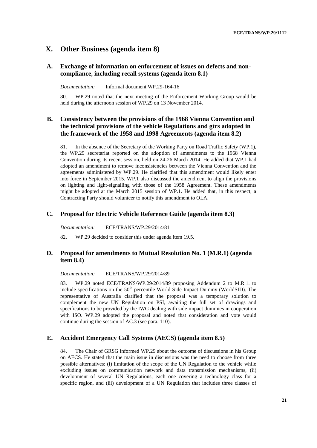# <span id="page-20-0"></span>**X. Other Business (agenda item 8)**

### <span id="page-20-1"></span>**A. Exchange of information on enforcement of issues on defects and noncompliance, including recall systems (agenda item 8.1)**

*Documentation:* Informal document WP.29-164-16

80. WP.29 noted that the next meeting of the Enforcement Working Group would be held during the afternoon session of WP.29 on 13 November 2014.

### <span id="page-20-2"></span>**B. Consistency between the provisions of the 1968 Vienna Convention and the technical provisions of the vehicle Regulations and gtrs adopted in the framework of the 1958 and 1998 Agreements (agenda item 8.2)**

81. In the absence of the Secretary of the Working Party on Road Traffic Safety (WP.1), the WP.29 secretariat reported on the adoption of amendments to the 1968 Vienna Convention during its recent session, held on 24-26 March 2014. He added that WP.1 had adopted an amendment to remove inconsistencies between the Vienna Convention and the agreements administered by WP.29. He clarified that this amendment would likely enter into force in September 2015. WP.1 also discussed the amendment to align the provisions on lighting and light-signalling with those of the 1958 Agreement. These amendments might be adopted at the March 2015 session of WP.1. He added that, in this respect, a Contracting Party should volunteer to notify this amendment to OLA.

#### <span id="page-20-3"></span>**C. Proposal for Electric Vehicle Reference Guide (agenda item 8.3)**

*Documentation:* ECE/TRANS/WP.29/2014/81

82. WP.29 decided to consider this under agenda item 19.5.

### <span id="page-20-4"></span>**D. Proposal for amendments to Mutual Resolution No. 1 (M.R.1) (agenda item 8.4)**

*Documentation:* ECE/TRANS/WP.29/2014/89

83. WP.29 noted ECE/TRANS/WP.29/2014/89 proposing Addendum 2 to M.R.1. to include specifications on the  $50<sup>th</sup>$  percentile World Side Impact Dummy (WorldSID). The representative of Australia clarified that the proposal was a temporary solution to complement the new UN Regulation on PSI, awaiting the full set of drawings and specifications to be provided by the IWG dealing with side impact dummies in cooperation with ISO. WP.29 adopted the proposal and noted that consideration and vote would continue during the session of AC.3 (see para. 110).

#### <span id="page-20-5"></span>**E. Accident Emergency Call Systems (AECS) (agenda item 8.5)**

84. The Chair of GRSG informed WP.29 about the outcome of discussions in his Group on AECS. He stated that the main issue in discussions was the need to choose from three possible alternatives: (i) limitation of the scope of the UN Regulation to the vehicle while excluding issues on communication network and data transmission mechanisms, (ii) development of several UN Regulations, each one covering a technology class for a specific region, and (iii) development of a UN Regulation that includes three classes of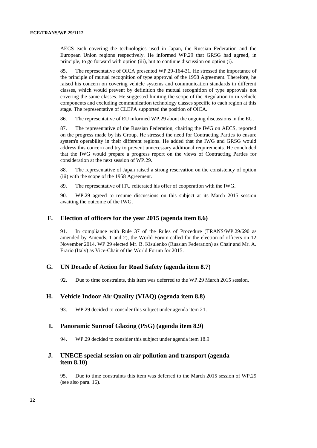AECS each covering the technologies used in Japan, the Russian Federation and the European Union regions respectively. He informed WP.29 that GRSG had agreed, in principle, to go forward with option (iii), but to continue discussion on option (i).

85. The representative of OICA presented WP.29-164-31. He stressed the importance of the principle of mutual recognition of type approval of the 1958 Agreement. Therefore, he raised his concern on covering vehicle systems and communication standards in different classes, which would prevent by definition the mutual recognition of type approvals not covering the same classes. He suggested limiting the scope of the Regulation to in-vehicle components and excluding communication technology classes specific to each region at this stage. The representative of CLEPA supported the position of OICA.

86. The representative of EU informed WP.29 about the ongoing discussions in the EU.

87. The representative of the Russian Federation, chairing the IWG on AECS, reported on the progress made by his Group. He stressed the need for Contracting Parties to ensure system's operability in their different regions. He added that the IWG and GRSG would address this concern and try to prevent unnecessary additional requirements. He concluded that the IWG would prepare a progress report on the views of Contracting Parties for consideration at the next session of WP.29.

88. The representative of Japan raised a strong reservation on the consistency of option (iii) with the scope of the 1958 Agreement.

89. The representative of ITU reiterated his offer of cooperation with the IWG.

90. WP.29 agreed to resume discussions on this subject at its March 2015 session awaiting the outcome of the IWG.

#### <span id="page-21-0"></span>**F. Election of officers for the year 2015 (agenda item 8.6)**

91. In compliance with Rule 37 of the Rules of Procedure (TRANS/WP.29/690 as amended by Amends. 1 and 2), the World Forum called for the election of officers on 12 November 2014. WP.29 elected Mr. B. Kisulenko (Russian Federation) as Chair and Mr. A. Erario (Italy) as Vice-Chair of the World Forum for 2015.

#### <span id="page-21-1"></span>**G. UN Decade of Action for Road Safety (agenda item 8.7)**

92. Due to time constraints, this item was deferred to the WP.29 March 2015 session.

### <span id="page-21-2"></span>**H. Vehicle Indoor Air Quality (VIAQ) (agenda item 8.8)**

93. WP.29 decided to consider this subject under agenda item 21.

#### <span id="page-21-3"></span>**I. Panoramic Sunroof Glazing (PSG) (agenda item 8.9)**

94. WP.29 decided to consider this subject under agenda item 18.9.

#### <span id="page-21-4"></span>**J. UNECE special session on air pollution and transport (agenda item 8.10)**

95. Due to time constraints this item was deferred to the March 2015 session of WP.29 (see also para. 16).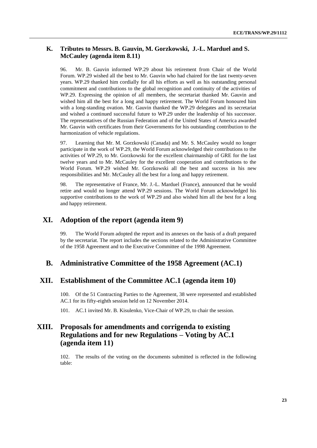### <span id="page-22-0"></span>**K. Tributes to Messrs. B. Gauvin, M. Gorzkowski, J.-L. Marduel and S. McCauley (agenda item 8.11)**

96. Mr. B. Gauvin informed WP.29 about his retirement from Chair of the World Forum. WP.29 wished all the best to Mr. Gauvin who had chaired for the last twenty-seven years. WP.29 thanked him cordially for all his efforts as well as his outstanding personal commitment and contributions to the global recognition and continuity of the activities of WP.29. Expressing the opinion of all members, the secretariat thanked Mr. Gauvin and wished him all the best for a long and happy retirement. The World Forum honoured him with a long-standing ovation. Mr. Gauvin thanked the WP.29 delegates and its secretariat and wished a continued successful future to WP.29 under the leadership of his successor. The representatives of the Russian Federation and of the United States of America awarded Mr. Gauvin with certificates from their Governments for his outstanding contribution to the harmonization of vehicle regulations.

97. Learning that Mr. M. Gorzkowski (Canada) and Mr. S. McCauley would no longer participate in the work of WP.29, the World Forum acknowledged their contributions to the activities of WP.29, to Mr. Gorzkowski for the excellent chairmanship of GRE for the last twelve years and to Mr. McCauley for the excellent cooperation and contributions to the World Forum. WP.29 wished Mr. Gorzkowski all the best and success in his new responsibilities and Mr. McCauley all the best for a long and happy retirement.

98. The representative of France, Mr. J.-L. Marduel (France), announced that he would retire and would no longer attend WP.29 sessions. The World Forum acknowledged his supportive contributions to the work of WP.29 and also wished him all the best for a long and happy retirement.

# <span id="page-22-1"></span>**XI. Adoption of the report (agenda item 9)**

99. The World Forum adopted the report and its annexes on the basis of a draft prepared by the secretariat. The report includes the sections related to the Administrative Committee of the 1958 Agreement and to the Executive Committee of the 1998 Agreement.

### <span id="page-22-2"></span>**B. Administrative Committee of the 1958 Agreement (AC.1)**

### <span id="page-22-3"></span>**XII. Establishment of the Committee AC.1 (agenda item 10)**

100. Of the 51 Contracting Parties to the Agreement, 38 were represented and established AC.1 for its fifty-eighth session held on 12 November 2014.

101. AC.1 invited Mr. B. Kisulenko, Vice-Chair of WP.29, to chair the session.

# <span id="page-22-4"></span>**XIII. Proposals for amendments and corrigenda to existing Regulations and for new Regulations – Voting by AC.1 (agenda item 11)**

102. The results of the voting on the documents submitted is reflected in the following table: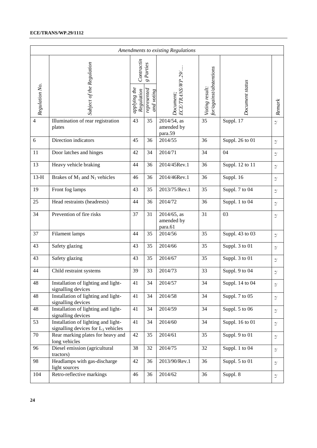#### **ECE/TRANS/WP.29/1112**

| Amendments to existing Regulations |                                                                              |                            |                                          |                                         |                                           |                 |                               |  |  |  |
|------------------------------------|------------------------------------------------------------------------------|----------------------------|------------------------------------------|-----------------------------------------|-------------------------------------------|-----------------|-------------------------------|--|--|--|
| Regulation No.                     | Subject of the Regulation                                                    |                            | $g$ Parties<br>represented<br>and voting | ECE/TRANS/WP.29/.<br>Document;          | for/against/abstentions<br>Voting result: | Document status |                               |  |  |  |
|                                    |                                                                              | applying the<br>Regulation |                                          |                                         |                                           |                 | Remark                        |  |  |  |
| 4                                  | Illumination of rear registration<br>plates                                  | 43                         | 35                                       | $2014/54$ , as<br>amended by<br>para.59 | 35                                        | Suppl. 17       | $\ensuremath{^{*}/}$          |  |  |  |
| 6                                  | Direction indicators                                                         | 45                         | 36                                       | 2014/55                                 | 36                                        | Suppl. 26 to 01 | $\ensuremath{^{*}/}$          |  |  |  |
| 11                                 | Door latches and hinges                                                      | 42                         | 34                                       | 2014/71                                 | 34                                        | 04              | $^*/$                         |  |  |  |
| 13                                 | Heavy vehicle braking                                                        | 44                         | 36                                       | 2014/45Rev.1                            | 36                                        | Suppl. 12 to 11 | $\ensuremath{^{*}/}$          |  |  |  |
| $13-H$                             | Brakes of $M_1$ and $N_1$ vehicles                                           | 46                         | 36                                       | 2014/46Rev.1                            | 36                                        | Suppl. 16       | $\frac{*}{\sqrt{2}}$          |  |  |  |
| 19                                 | Front fog lamps                                                              | 43                         | 35                                       | 2013/75/Rev.1                           | 35                                        | Suppl. 7 to 04  | $\frac{*}{\cdot}$             |  |  |  |
| 25                                 | Head restraints (headrests)                                                  | 44                         | 36                                       | 2014/72                                 | 36                                        | Suppl. 1 to 04  | $^*/$                         |  |  |  |
| 34                                 | Prevention of fire risks                                                     | 37                         | 31                                       | 2014/65, as<br>amended by<br>para.61    | 31                                        | 03              | $\ensuremath{^{*}/}$          |  |  |  |
| 37                                 | Filament lamps                                                               | 44                         | 35                                       | 2014/56                                 | 35                                        | Suppl. 43 to 03 | $\frac{*}{\sqrt{2}}$          |  |  |  |
| 43                                 | Safety glazing                                                               | 43                         | 35                                       | 2014/66                                 | 35                                        | Suppl. 3 to 01  | $\frac{*}{\sqrt{2}}$          |  |  |  |
| 43                                 | Safety glazing                                                               | 43                         | 35                                       | 2014/67                                 | 35                                        | Suppl. 3 to 01  | $^*/$                         |  |  |  |
| 44                                 | Child restraint systems                                                      | 39                         | 33                                       | 2014/73                                 | 33                                        | Suppl. 9 to 04  | $^*/$                         |  |  |  |
| 48                                 | Installation of lighting and light-<br>signalling devices                    | 41                         | 34                                       | 2014/57                                 | 34                                        | Suppl. 14 to 04 | $\ensuremath{^{*\!}}\xspace/$ |  |  |  |
| 48                                 | Installation of lighting and light-<br>signalling devices                    | 41                         | 34                                       | 2014/58                                 | 34                                        | Suppl. 7 to 05  | $\ensuremath{^{*}/}$          |  |  |  |
| 48                                 | Installation of lighting and light-<br>signalling devices                    | 41                         | 34                                       | 2014/59                                 | 34                                        | Suppl. 5 to 06  | $\frac{*}{\cdot}$             |  |  |  |
| 53                                 | Installation of lighting and light-<br>signalling devices for $L_3$ vehicles | 41                         | 34                                       | 2014/60                                 | 34                                        | Suppl. 16 to 01 | $\ensuremath{^{*}/}$          |  |  |  |
| 70                                 | Rear marking plates for heavy and<br>long vehicles                           | 42                         | 35                                       | 2014/61                                 | 35                                        | Suppl. 9 to 01  | $\ensuremath{^{*}/}$          |  |  |  |
| 96                                 | Diesel emission (agricultural<br>tractors)                                   | 38                         | 32                                       | 2014/75                                 | 32                                        | Suppl. 1 to 04  | $\frac{*}{\cdot}$             |  |  |  |
| 98                                 | Headlamps with gas-discharge<br>light sources                                | 42                         | 36                                       | 2013/90/Rev.1                           | 36                                        | Suppl. 5 to 01  | $\ensuremath{^{*}/}$          |  |  |  |
| 104                                | Retro-reflective markings                                                    | 46                         | 36                                       | 2014/62                                 | 36                                        | Suppl. 8        | $\frac{*}{\cdot}$             |  |  |  |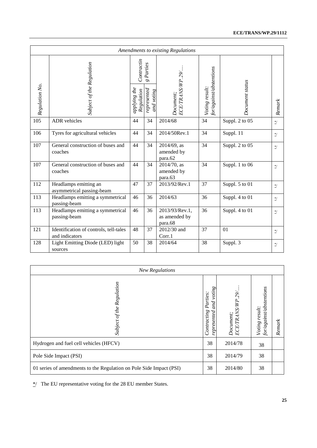#### **ECE/TRANS/WP.29/1112**

| Amendments to existing Regulations |                                                          |                            |                           |                                            |                                           |                 |                      |  |  |  |
|------------------------------------|----------------------------------------------------------|----------------------------|---------------------------|--------------------------------------------|-------------------------------------------|-----------------|----------------------|--|--|--|
|                                    |                                                          |                            | $g$ Parties               |                                            |                                           |                 |                      |  |  |  |
| Regulation No.                     | Subject of the Regulation                                | applying the<br>Regulation | represented<br>and voting | ECE/TRANS/WP.29/<br>Document;              | for/against/abstentions<br>Voting result: | Document status | Remark               |  |  |  |
| $\overline{105}$                   | <b>ADR</b> vehicles                                      | 44                         | 34                        | 2014/68                                    | 34                                        | Suppl. 2 to 05  | $\frac{*}{\sqrt{2}}$ |  |  |  |
| 106                                | Tyres for agricultural vehicles                          | 44                         | 34                        | 2014/50Rev.1                               | 34                                        | Suppl. 11       | $\ast/$              |  |  |  |
| 107                                | General construction of buses and<br>coaches             | 44                         | 34                        | 2014/69, as<br>amended by<br>para.62       | 34                                        | Suppl. 2 to 05  | $^*/$                |  |  |  |
| 107                                | General construction of buses and<br>coaches             | 44                         | 34                        | $2014/70$ , as<br>amended by<br>para.63    | 34                                        | Suppl. 1 to 06  | $^*/$                |  |  |  |
| 112                                | Headlamps emitting an<br>asymmetrical passing-beam       | 47                         | 37                        | 2013/92/Rev.1                              | 37                                        | Suppl. 5 to 01  | $\ast/$              |  |  |  |
| 113                                | Headlamps emitting a symmetrical<br>passing-beam         | 46                         | 36                        | 2014/63                                    | 36                                        | Suppl. 4 to 01  | $\frac{*}{\cdot}$    |  |  |  |
| 113                                | Headlamps emitting a symmetrical<br>passing-beam         | 46                         | 36                        | 2013/93/Rev.1,<br>as amended by<br>para.68 | 36                                        | Suppl. 4 to 01  | $^*/$                |  |  |  |
| 121                                | Identification of controls, tell-tales<br>and indicators | 48                         | 37                        | 2012/30 and<br>Corr.1                      | 37                                        | 01              | $\frac{*}{\cdot}$    |  |  |  |
| 128                                | Light Emitting Diode (LED) light<br>sources              | 50                         | 38                        | 2014/64                                    | 38                                        | Suppl. 3        | $\frac{*}{\cdot}$    |  |  |  |

| <b>New Regulations</b>                                              |                                                         |                                  |                                           |        |  |  |  |  |  |
|---------------------------------------------------------------------|---------------------------------------------------------|----------------------------------|-------------------------------------------|--------|--|--|--|--|--|
| Regulation<br>Subject of the                                        | voting<br>Parties:<br>and<br>Contracting<br>represented | <b>TRANS</b><br>Document;<br>ECE | for/against/abstentions<br>Voting result: | Remark |  |  |  |  |  |
| Hydrogen and fuel cell vehicles (HFCV)                              | 38                                                      | 2014/78                          | 38                                        |        |  |  |  |  |  |
| Pole Side Impact (PSI)                                              | 38                                                      | 2014/79                          | 38                                        |        |  |  |  |  |  |
| 01 series of amendments to the Regulation on Pole Side Impact (PSI) | 38                                                      | 2014/80                          | 38                                        |        |  |  |  |  |  |

\*/ The EU representative voting for the 28 EU member States.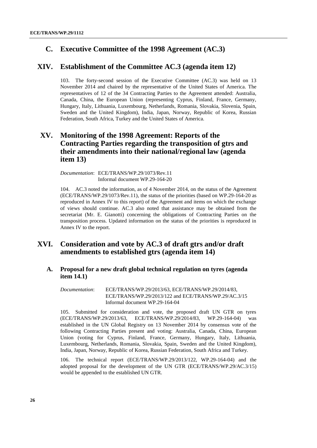# <span id="page-25-0"></span>**C. Executive Committee of the 1998 Agreement (AC.3)**

### <span id="page-25-1"></span>**XIV. Establishment of the Committee AC.3 (agenda item 12)**

103. The forty-second session of the Executive Committee (AC.3) was held on 13 November 2014 and chaired by the representative of the United States of America. The representatives of 12 of the 34 Contracting Parties to the Agreement attended: Australia, Canada, China, the European Union (representing Cyprus, Finland, France, Germany, Hungary, Italy, Lithuania, Luxembourg, Netherlands, Romania, Slovakia, Slovenia, Spain, Sweden and the United Kingdom), India, Japan, Norway, Republic of Korea, Russian Federation, South Africa, Turkey and the United States of America.

# <span id="page-25-2"></span>**XV. Monitoring of the 1998 Agreement: Reports of the Contracting Parties regarding the transposition of gtrs and their amendments into their national/regional law (agenda item 13)**

*Documentation*: ECE/TRANS/WP.29/1073/Rev.11 Informal document WP.29-164-20

104. AC.3 noted the information, as of 4 November 2014, on the status of the Agreement (ECE/TRANS/WP.29/1073/Rev.11), the status of the priorities (based on WP.29-164-20 as reproduced in Annex IV to this report) of the Agreement and items on which the exchange of views should continue. AC.3 also noted that assistance may be obtained from the secretariat (Mr. E. Gianotti) concerning the obligations of Contracting Parties on the transposition process. Updated information on the status of the priorities is reproduced in Annex IV to the report.

# <span id="page-25-3"></span>**XVI. Consideration and vote by AC.3 of draft gtrs and/or draft amendments to established gtrs (agenda item 14)**

### <span id="page-25-4"></span>**A. Proposal for a new draft global technical regulation on tyres (agenda item 14.1)**

*Documentation*: ECE/TRANS/WP.29/2013/63, ECE/TRANS/WP.29/2014/83, ECE/TRANS/WP.29/2013/122 and ECE/TRANS/WP.29/AC.3/15 Informal document WP.29-164-04

105. Submitted for consideration and vote, the proposed draft UN GTR on tyres (ECE/TRANS/WP.29/2013/63, ECE/TRANS/WP.29/2014/83, WP.29-164-04) was established in the UN Global Registry on 13 November 2014 by consensus vote of the following Contracting Parties present and voting: Australia, Canada, China, European Union (voting for Cyprus, Finland, France, Germany, Hungary, Italy, Lithuania, Luxembourg, Netherlands, Romania, Slovakia, Spain, Sweden and the United Kingdom), India, Japan, Norway, Republic of Korea, Russian Federation, South Africa and Turkey.

106. The technical report (ECE/TRANS/WP.29/2013/122, WP.29-164-04) and the adopted proposal for the development of the UN GTR (ECE/TRANS/WP.29/AC.3/15) would be appended to the established UN GTR.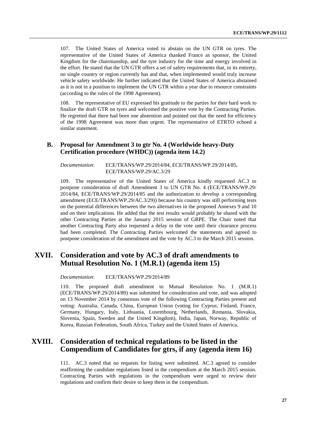107. The United States of America voted to abstain on the UN GTR on tyres. The representative of the United States of America thanked France as sponsor, the United Kingdom for the chairmanship, and the tyre industry for the time and energy involved in the effort. He stated that the UN GTR offers a set of safety requirements that, in its entirety, no single country or region currently has and that, when implemented would truly increase vehicle safety worldwide. He further indicated that the United States of America abstained as it is not in a position to implement the UN GTR within a year due to resource constraints (according to the rules of the 1998 Agreement).

108. The representative of EU expressed his gratitude to the parties for their hard work to finalize the draft GTR on tyres and welcomed the positive vote by the Contracting Parties. He regretted that there had been one abstention and pointed out that the need for efficiency of the 1998 Agreement was more than urgent. The representative of ETRTO echoed a similar statement.

### <span id="page-26-0"></span>**B. Proposal for Amendment 3 to gtr No. 4 (Worldwide heavy-Duty Certification procedure (WHDC)) (agenda item 14.2)**

*Documentation*: ECE/TRANS/WP.29/2014/84, ECE/TRANS/WP.29/2014/85, ECE/TRANS/WP.29/AC.3/29

109. The representative of the United States of America kindly requested AC.3 to postpone consideration of draft Amendment 3 to UN GTR No. 4 (ECE/TRANS/WP.29/ 2014/84, ECE/TRANS/WP.29/2014/85 and the authorization to develop a corresponding amendment (ECE/TRANS/WP.29/AC.3/29)) because his country was still performing tests on the potential differences between the two alternatives in the proposed Annexes 9 and 10 and on their implications. He added that the test results would probably be shared with the other Contracting Parties at the January 2015 session of GRPE. The Chair noted that another Contracting Party also requested a delay in the vote until their clearance process had been completed. The Contracting Parties welcomed the statements and agreed to postpone consideration of the amendment and the vote by AC.3 to the March 2015 session.

# <span id="page-26-1"></span>**XVII. Consideration and vote by AC.3 of draft amendments to Mutual Resolution No. 1 (M.R.1) (agenda item 15)**

*Documentation*: ECE/TRANS/WP.29/2014/89

110. The proposed draft amendment to Mutual Resolution No. 1 (M.R.1) (ECE/TRANS/WP.29/2014/89) was submitted for consideration and vote, and was adopted on 13 November 2014 by consensus vote of the following Contracting Parties present and voting: Australia, Canada, China, European Union (voting for Cyprus, Finland, France, Germany, Hungary, Italy, Lithuania, Luxembourg, Netherlands, Romania, Slovakia, Slovenia, Spain, Sweden and the United Kingdom), India, Japan, Norway, Republic of Korea, Russian Federation, South Africa, Turkey and the United States of America.

# <span id="page-26-2"></span>**XVIII. Consideration of technical regulations to be listed in the Compendium of Candidates for gtrs, if any (agenda item 16)**

111. AC.3 noted that no requests for listing were submitted. AC.3 agreed to consider reaffirming the candidate regulations listed in the compendium at the March 2015 session. Contracting Parties with regulations in the compendium were urged to review their regulations and confirm their desire to keep them in the compendium.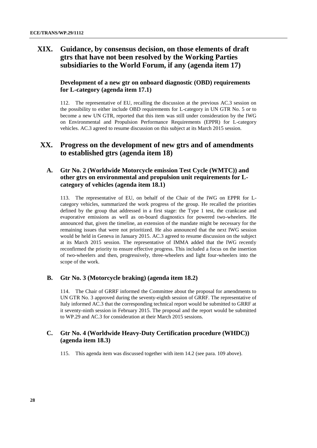# <span id="page-27-0"></span>**XIX. Guidance, by consensus decision, on those elements of draft gtrs that have not been resolved by the Working Parties subsidiaries to the World Forum, if any (agenda item 17)**

### <span id="page-27-1"></span>**Development of a new gtr on onboard diagnostic (OBD) requirements for L-category (agenda item 17.1)**

112. The representative of EU, recalling the discussion at the previous AC.3 session on the possibility to either include OBD requirements for L-category in UN GTR No. 5 or to become a new UN GTR, reported that this item was still under consideration by the IWG on Environmental and Propulsion Performance Requirements (EPPR) for L-category vehicles. AC.3 agreed to resume discussion on this subject at its March 2015 session.

# <span id="page-27-2"></span>**XX. Progress on the development of new gtrs and of amendments to established gtrs (agenda item 18)**

### <span id="page-27-3"></span>**A. Gtr No. 2 (Worldwide Motorcycle emission Test Cycle (WMTC)) and other gtrs on environmental and propulsion unit requirements for Lcategory of vehicles (agenda item 18.1)**

113. The representative of EU, on behalf of the Chair of the IWG on EPPR for Lcategory vehicles, summarized the work progress of the group. He recalled the priorities defined by the group that addressed in a first stage: the Type 1 test, the crankcase and evaporative emissions as well as on-board diagnostics for powered two-wheelers. He announced that, given the timeline, an extension of the mandate might be necessary for the remaining issues that were not prioritized. He also announced that the next IWG session would be held in Geneva in January 2015. AC.3 agreed to resume discussion on the subject at its March 2015 session. The representative of IMMA added that the IWG recently reconfirmed the priority to ensure effective progress. This included a focus on the insertion of two-wheelers and then, progressively, three-wheelers and light four-wheelers into the scope of the work.

#### <span id="page-27-4"></span>**B. Gtr No. 3 (Motorcycle braking) (agenda item 18.2)**

114. The Chair of GRRF informed the Committee about the proposal for amendments to UN GTR No. 3 approved during the seventy-eighth session of GRRF. The representative of Italy informed AC.3 that the corresponding technical report would be submitted to GRRF at it seventy-ninth session in February 2015. The proposal and the report would be submitted to WP.29 and AC.3 for consideration at their March 2015 sessions.

#### <span id="page-27-5"></span>**C. Gtr No. 4 (Worldwide Heavy-Duty Certification procedure (WHDC)) (agenda item 18.3)**

115. This agenda item was discussed together with item 14.2 (see para. 109 above).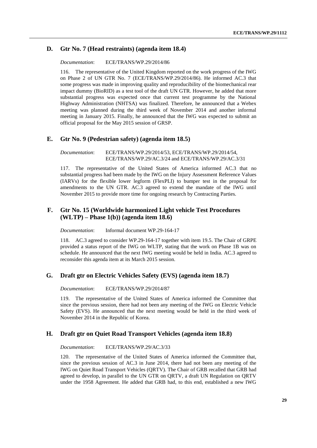### <span id="page-28-0"></span>**D. Gtr No. 7 (Head restraints) (agenda item 18.4)**

*Documentation*: ECE/TRANS/WP.29/2014/86

116. The representative of the United Kingdom reported on the work progress of the IWG on Phase 2 of UN GTR No. 7 (ECE/TRANS/WP.29/2014/86). He informed AC.3 that some progress was made in improving quality and reproducibility of the biomechanical rear impact dummy (BioRID) as a test tool of the draft UN GTR. However, he added that more substantial progress was expected once that current test programme by the National Highway Administration (NHTSA) was finalized. Therefore, he announced that a Webex meeting was planned during the third week of November 2014 and another informal meeting in January 2015. Finally, he announced that the IWG was expected to submit an official proposal for the May 2015 session of GRSP.

#### <span id="page-28-1"></span>**E. Gtr No. 9 (Pedestrian safety) (agenda item 18.5)**

*Documentation*: ECE/TRANS/WP.29/2014/53, ECE/TRANS/WP.29/2014/54, ECE/TRANS/WP.29/AC.3/24 and ECE/TRANS/WP.29/AC.3/31

117. The representative of the United States of America informed AC.3 that no substantial progress had been made by the IWG on the Injury Assessment Reference Values (IARVs) for the flexible lower legform (FlexPLI) to bumper test in the proposal for amendments to the UN GTR. AC.3 agreed to extend the mandate of the IWG until November 2015 to provide more time for ongoing research by Contracting Parties.

#### <span id="page-28-2"></span>**F. Gtr No. 15 (Worldwide harmonized Light vehicle Test Procedures (WLTP) – Phase 1(b)) (agenda item 18.6)**

*Documentation*: Informal document WP.29-164-17

118. AC.3 agreed to consider WP.29-164-17 together with item 19.5. The Chair of GRPE provided a status report of the IWG on WLTP, stating that the work on Phase 1B was on schedule. He announced that the next IWG meeting would be held in India. AC.3 agreed to reconsider this agenda item at its March 2015 session.

#### <span id="page-28-3"></span>**G. Draft gtr on Electric Vehicles Safety (EVS) (agenda item 18.7)**

*Documentation*: ECE/TRANS/WP.29/2014/87

119. The representative of the United States of America informed the Committee that since the previous session, there had not been any meeting of the IWG on Electric Vehicle Safety (EVS). He announced that the next meeting would be held in the third week of November 2014 in the Republic of Korea.

#### <span id="page-28-4"></span>**H. Draft gtr on Quiet Road Transport Vehicles (agenda item 18.8)**

*Documentation*: ECE/TRANS/WP.29/AC.3/33

120. The representative of the United States of America informed the Committee that, since the previous session of AC.3 in June 2014, there had not been any meeting of the IWG on Quiet Road Transport Vehicles (QRTV). The Chair of GRB recalled that GRB had agreed to develop, in parallel to the UN GTR on QRTV, a draft UN Regulation on QRTV under the 1958 Agreement. He added that GRB had, to this end, established a new IWG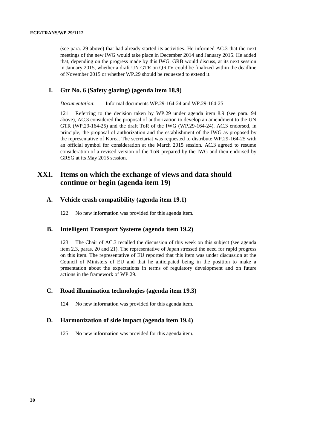(see para. 29 above) that had already started its activities. He informed AC.3 that the next meetings of the new IWG would take place in December 2014 and January 2015. He added that, depending on the progress made by this IWG, GRB would discuss, at its next session in January 2015, whether a draft UN GTR on QRTV could be finalized within the deadline of November 2015 or whether WP.29 should be requested to extend it.

#### <span id="page-29-0"></span>**I. Gtr No. 6 (Safety glazing) (agenda item 18.9)**

*Documentation*: Informal documents WP.29-164-24 and WP.29-164-25

121. Referring to the decision taken by WP.29 under agenda item 8.9 (see para. 94 above), AC.3 considered the proposal of authorization to develop an amendment to the UN GTR (WP.29-164-25) and the draft ToR of the IWG (WP.29-164-24). AC.3 endorsed, in principle, the proposal of authorization and the establishment of the IWG as proposed by the representative of Korea. The secretariat was requested to distribute WP.29-164-25 with an official symbol for consideration at the March 2015 session. AC.3 agreed to resume consideration of a revised version of the ToR prepared by the IWG and then endorsed by GRSG at its May 2015 session.

### <span id="page-29-1"></span>**XXI. Items on which the exchange of views and data should continue or begin (agenda item 19)**

#### <span id="page-29-2"></span>**A. Vehicle crash compatibility (agenda item 19.1)**

122. No new information was provided for this agenda item.

#### <span id="page-29-3"></span>**B. Intelligent Transport Systems (agenda item 19.2)**

123. The Chair of AC.3 recalled the discussion of this week on this subject (see agenda item 2.3, paras. 20 and 21). The representative of Japan stressed the need for rapid progress on this item. The representative of EU reported that this item was under discussion at the Council of Ministers of EU and that he anticipated being in the position to make a presentation about the expectations in terms of regulatory development and on future actions in the framework of WP.29.

### <span id="page-29-4"></span>**C. Road illumination technologies (agenda item 19.3)**

124. No new information was provided for this agenda item.

#### <span id="page-29-5"></span>**D. Harmonization of side impact (agenda item 19.4)**

125. No new information was provided for this agenda item.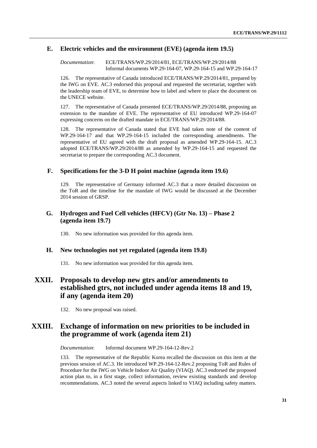### <span id="page-30-0"></span>**E. Electric vehicles and the environment (EVE) (agenda item 19.5)**

*Documentation*: ECE/TRANS/WP.29/2014/81, ECE/TRANS/WP.29/2014/88 Informal documents WP.29-164-07, WP.29-164-15 and WP.29-164-17

126. The representative of Canada introduced ECE/TRANS/WP.29/2014/81, prepared by the IWG on EVE. AC.3 endorsed this proposal and requested the secretariat, together with the leadership team of EVE, to determine how to label and where to place the document on the UNECE website.

127. The representative of Canada presented ECE/TRANS/WP.29/2014/88, proposing an extension to the mandate of EVE. The representative of EU introduced WP.29-164-07 expressing concerns on the drafted mandate in ECE/TRANS/WP.29/2014/88.

128. The representative of Canada stated that EVE had taken note of the content of WP.29-164-17 and that WP.29-164-15 included the corresponding amendments. The representative of EU agreed with the draft proposal as amended WP.29-164-15. AC.3 adopted ECE/TRANS/WP.29/2014/88 as amended by WP.29-164-15 and requested the secretariat to prepare the corresponding AC.3 document.

### <span id="page-30-1"></span>**F. Specifications for the 3-D H point machine (agenda item 19.6)**

129. The representative of Germany informed AC.3 that a more detailed discussion on the ToR and the timeline for the mandate of IWG would be discussed at the December 2014 session of GRSP.

### <span id="page-30-2"></span>**G. Hydrogen and Fuel Cell vehicles (HFCV) (Gtr No. 13) – Phase 2 (agenda item 19.7)**

130. No new information was provided for this agenda item.

#### <span id="page-30-3"></span>**H. New technologies not yet regulated (agenda item 19.8)**

131. No new information was provided for this agenda item.

# <span id="page-30-4"></span>**XXII. Proposals to develop new gtrs and/or amendments to established gtrs, not included under agenda items 18 and 19, if any (agenda item 20)**

132. No new proposal was raised.

# <span id="page-30-5"></span>**XXIII. Exchange of information on new priorities to be included in the programme of work (agenda item 21)**

*Documentation*: Informal document WP.29-164-12-Rev.2

133. The representative of the Republic Korea recalled the discussion on this item at the previous session of AC.3. He introduced WP.29-164-12-Rev.2 proposing ToR and Rules of Procedure for the IWG on Vehicle Indoor Air Quality (VIAQ). AC.3 endorsed the proposed action plan to, in a first stage, collect information, review existing standards and develop recommendations. AC.3 noted the several aspects linked to VIAQ including safety matters.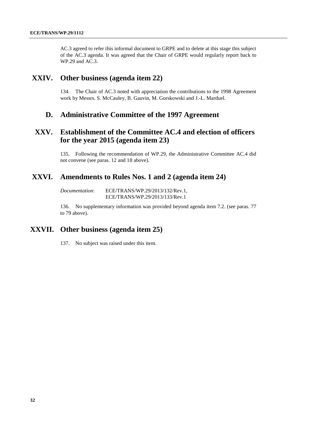AC.3 agreed to refer this informal document to GRPE and to delete at this stage this subject of the AC.3 agenda. It was agreed that the Chair of GRPE would regularly report back to WP.29 and AC.3.

### <span id="page-31-0"></span>**XXIV. Other business (agenda item 22)**

134. The Chair of AC.3 noted with appreciation the contributions to the 1998 Agreement work by Messrs. S. McCauley, B. Gauvin, M. Gorskowski and J.-L. Marduel.

### <span id="page-31-1"></span>**D. Administrative Committee of the 1997 Agreement**

# <span id="page-31-2"></span>**XXV. Establishment of the Committee AC.4 and election of officers for the year 2015 (agenda item 23)**

135. Following the recommendation of WP.29, the Administrative Committee AC.4 did not convene (see paras. 12 and 18 above).

### <span id="page-31-3"></span>**XXVI. Amendments to Rules Nos. 1 and 2 (agenda item 24)**

*Documentation*: ECE/TRANS/WP.29/2013/132/Rev.1, ECE/TRANS/WP.29/2013/133/Rev.1

136. No supplementary information was provided beyond agenda item 7.2. (see paras. 77 to 79 above).

# <span id="page-31-4"></span>**XXVII. Other business (agenda item 25)**

137. No subject was raised under this item.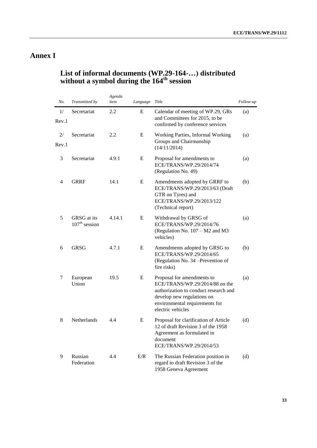# <span id="page-32-0"></span>**Annex I**

# <span id="page-32-1"></span>**List of informal documents (WP.29-164-…) distributed without a symbol during the 164th session**

| No.         | Transmitted by                 | Agenda<br>item | Language | Title                                                                                                                                                                                      | Follow-up |
|-------------|--------------------------------|----------------|----------|--------------------------------------------------------------------------------------------------------------------------------------------------------------------------------------------|-----------|
| 1/<br>Rev.1 | Secretariat                    | 2.2            | E        | Calendar of meeting of WP.29, GRs<br>and Committees for 2015, to be<br>confirmed by conference services                                                                                    | (a)       |
| 2/<br>Rev.1 | Secretariat                    | 2.2            | E        | Working Parties, Informal Working<br>Groups and Chairmanship<br>(14/11/2014)                                                                                                               | (a)       |
| 3           | Secretariat                    | 4.9.1          | E        | Proposal for amendments to<br>ECE/TRANS/WP.29/2014/74<br>(Regulation No. 49)                                                                                                               | (a)       |
| 4           | <b>GRRF</b>                    | 14.1           | E        | Amendments adopted by GRRF to<br>ECE/TRANS/WP.29/2013/63 (Draft<br>GTR on Tyres) and<br>ECE/TRANS/WP.29/2013/122<br>(Technical report)                                                     | (b)       |
| 5           | GRSG at its<br>$107th$ session | 4.14.1         | E        | Withdrawal by GRSG of<br>ECE/TRANS/WP.29/2014/76<br>(Regulation No. $107 - M2$ and M3<br>vehicles)                                                                                         | (a)       |
| 6           | <b>GRSG</b>                    | 4.7.1          | E        | Amendments adopted by GRSG to<br>ECE/TRANS/WP.29/2014/65<br>(Regulation No. 34 -Prevention of<br>fire risks)                                                                               | (b)       |
| 7           | European<br>Union              | 19.5           | E        | Proposal for amendments to<br>ECE/TRANS/WP.29/2014/88 on the<br>authorization to conduct research and<br>develop new regulations on<br>environmental requirements for<br>electric vehicles | (a)       |
| 8           | Netherlands                    | 4.4            | E        | Proposal for clarification of Article<br>12 of draft Revision 3 of the 1958<br>Agreement as formulated in<br>document<br>ECE/TRANS/WP.29/2014/53                                           | (d)       |
| 9           | Russian<br>Federation          | 4.4            | E/R      | The Russian Federation position in<br>regard to draft Revision 3 of the<br>1958 Geneva Agreement                                                                                           | (d)       |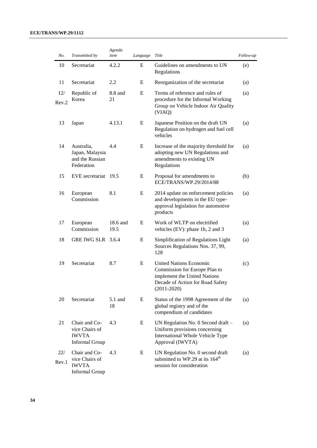#### **ECE/TRANS/WP.29/1112**

| No.          | Transmitted by                                                           | Agenda<br>item                                                                                                                    | Language | Title                                                                                                                                                  | Follow-up |
|--------------|--------------------------------------------------------------------------|-----------------------------------------------------------------------------------------------------------------------------------|----------|--------------------------------------------------------------------------------------------------------------------------------------------------------|-----------|
| 10           | Secretariat                                                              | 4.2.2                                                                                                                             | E        | Guidelines on amendments to UN<br>Regulations                                                                                                          | (e)       |
| 11           | Secretariat                                                              | 2.2                                                                                                                               | E        | Reorganization of the secretariat                                                                                                                      | (a)       |
| 12/<br>Rev.2 | Republic of<br>Korea                                                     | 8.8 and<br>21                                                                                                                     | E        | Terms of reference and rules of<br>procedure for the Informal Working<br>Group on Vehicle Indoor Air Quality<br>(VIAQ)                                 | (a)       |
| 13           | Japan                                                                    | 4.13.1                                                                                                                            | E        | Japanese Position on the draft UN<br>Regulation on hydrogen and fuel cell<br>vehicles                                                                  | (a)       |
| 14           | Australia,<br>Japan, Malaysia<br>and the Russian<br>Federation           | E<br>4.4<br>Increase of the majority threshold for<br>adopting new UN Regulations and<br>amendments to existing UN<br>Regulations |          | (a)                                                                                                                                                    |           |
| 15           | EVE secretariat 19.5                                                     |                                                                                                                                   | E        | Proposal for amendments to<br>ECE/TRANS/WP.29/2014/88                                                                                                  | (b)       |
| 16           | European<br>Commission                                                   | 8.1                                                                                                                               | E        | 2014 update on enforcement policies<br>and developments in the EU type-<br>approval legislation for automotive<br>products                             | (a)       |
| 17           | European<br>Commission                                                   | 18.6 and<br>19.5                                                                                                                  | E        | Work of WLTP on electrified<br>vehicles (EV): phase 1b, 2 and 3                                                                                        | (a)       |
| 18           | GRE IWG SLR 3.6.4                                                        |                                                                                                                                   | E        | Simplification of Regulations Light<br>Sources Regulations Nos. 37, 99,<br>128                                                                         | (a)       |
| 19           | Secretariat                                                              | 8.7                                                                                                                               | E        | <b>United Nations Economic</b><br>Commission for Europe Plan to<br>implement the United Nations<br>Decade of Action for Road Safety<br>$(2011 - 2020)$ | (c)       |
| 20           | Secretariat                                                              | 5.1 and<br>18                                                                                                                     | E        | Status of the 1998 Agreement of the<br>global registry and of the<br>compendium of candidates                                                          | (a)       |
| 21           | Chair and Co-<br>vice Chairs of<br><b>IWVTA</b><br><b>Informal Group</b> | 4.3                                                                                                                               | E        | UN Regulation No. 0 Second draft -<br>Uniform provisions concerning<br>International Whole Vehicle Type<br>Approval (IWVTA)                            | (a)       |
| 22/<br>Rev.1 | Chair and Co-<br>vice Chairs of<br><b>IWVTA</b><br><b>Informal Group</b> | 4.3                                                                                                                               | E        | UN Regulation No. 0 second draft<br>submitted to WP.29 at its 164 <sup>th</sup><br>session for consideration                                           | (a)       |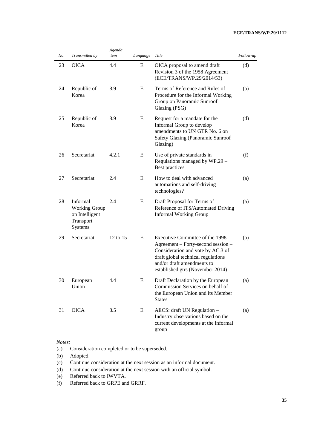#### **ECE/TRANS/WP.29/1112**

| No. | Transmitted by                                                             | Agenda<br>item | Language | Title                                                                                                                                                                                                              | Follow-up |
|-----|----------------------------------------------------------------------------|----------------|----------|--------------------------------------------------------------------------------------------------------------------------------------------------------------------------------------------------------------------|-----------|
| 23  | <b>OICA</b>                                                                | 4.4            | E        | OICA proposal to amend draft<br>Revision 3 of the 1958 Agreement<br>(ECE/TRANS/WP.29/2014/53)                                                                                                                      | (d)       |
| 24  | Republic of<br>Korea                                                       | 8.9            | E        | Terms of Reference and Rules of<br>Procedure for the Informal Working<br>Group on Panoramic Sunroof<br>Glazing (PSG)                                                                                               | (a)       |
| 25  | Republic of<br>Korea                                                       | 8.9            | E        | Request for a mandate for the<br>Informal Group to develop<br>amendments to UN GTR No. 6 on<br>Safety Glazing (Panoramic Sunroof<br>Glazing)                                                                       | (d)       |
| 26  | Secretariat                                                                | 4.2.1          | E        | Use of private standards in<br>Regulations managed by WP.29 -<br>Best practices                                                                                                                                    | (f)       |
| 27  | Secretariat                                                                | 2.4            | E        | How to deal with advanced<br>automations and self-driving<br>technologies?                                                                                                                                         | (a)       |
| 28  | Informal<br><b>Working Group</b><br>on Intelligent<br>Transport<br>Systems | 2.4            | E        | Draft Proposal for Terms of<br>Reference of ITS/Automated Driving<br><b>Informal Working Group</b>                                                                                                                 | (a)       |
| 29  | Secretariat                                                                | 12 to 15       | E        | Executive Committee of the 1998<br>Agreement – Forty-second session –<br>Consideration and vote by AC.3 of<br>draft global technical regulations<br>and/or draft amendments to<br>established gtrs (November 2014) | (a)       |
| 30  | European<br>Union                                                          | 4.4            | E        | Draft Declaration by the European<br>Commission Services on behalf of<br>the European Union and its Member<br><b>States</b>                                                                                        | (a)       |
| 31  | <b>OICA</b>                                                                | 8.5            | E        | AECS: draft UN Regulation -<br>Industry observations based on the<br>current developments at the informal<br>group                                                                                                 | (a)       |

#### *Notes:*

(a) Consideration completed or to be superseded.

(b) Adopted.

(c) Continue consideration at the next session as an informal document.

(d) Continue consideration at the next session with an official symbol.

(e) Referred back to IWVTA.

(f) Referred back to GRPE and GRRF.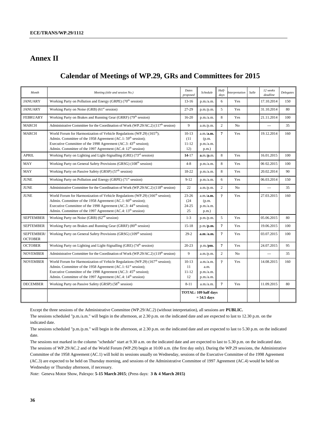# **Annex II**

# <span id="page-35-0"></span>**Calendar of Meetings of WP.29, GRs and Committees for 2015**

| $\mathit{Month}$             | Meeting (title and session No.)                                                                                                                                                                                                                                                                                                 | Dates<br>proposed                    | Schedule                                     | Half-<br>days  | <i>Interpretation</i> | Salle | 12 weeks<br>deadline | Delegates |
|------------------------------|---------------------------------------------------------------------------------------------------------------------------------------------------------------------------------------------------------------------------------------------------------------------------------------------------------------------------------|--------------------------------------|----------------------------------------------|----------------|-----------------------|-------|----------------------|-----------|
| <b>JANUARY</b>               | Working Party on Pollution and Energy (GRPE) (70 <sup>th</sup> session)                                                                                                                                                                                                                                                         | $13-16$                              | p.m./a.m.                                    | 6              | Yes                   |       | 17.10.2014           | 150       |
| <b>JANUARY</b>               | Working Party on Noise (GRB) (61 <sup>st</sup> session)                                                                                                                                                                                                                                                                         | 27-29                                | p.m./p.m.                                    | 5              | Yes                   |       | 31.10.2014           | 80        |
| <b>FEBRUARY</b>              | Working Party on Brakes and Running Gear (GRRF) (79 <sup>th</sup> session)                                                                                                                                                                                                                                                      | $16-20$                              | p.m./a.m.                                    | 8              | Yes                   |       | 21.11.2014           | 100       |
| <b>MARCH</b>                 | Administrative Committee for the Coordination of Work (WP.29/AC.2) (117 <sup>th</sup> session)                                                                                                                                                                                                                                  | 9                                    | a.m./p.m.                                    | $\overline{2}$ | N <sub>o</sub>        |       |                      | 35        |
| <b>MARCH</b>                 | World Forum for Harmonization of Vehicle Regulations (WP.29) (165 <sup>th</sup> );<br>Admin. Committee of the 1958 Agreement (AC.1: 59 <sup>th</sup> session);<br>Executive Committee of the 1998 Agreement (AC.3: 43 <sup>th</sup> session);<br>Admin. Committee of the 1997 Agreement (AC.4: 12 <sup>th</sup> session)        | $10-13$<br>(11)<br>$11 - 12$<br>12)  | a.m./a.m.<br>(p.m.<br>p.m./a.m.<br>$p.m.$ )  | $\overline{7}$ | Yes                   |       | 19.12.2014           | 160       |
| <b>APRIL</b>                 | Working Party on Lighting and Light-Signalling (GRE) (73 <sup>rd</sup> session)                                                                                                                                                                                                                                                 | $14-17$                              | a.m./p.m.                                    | 8              | Yes                   |       | 16.01.2015           | 100       |
| <b>MAY</b>                   | Working Party on General Safety Provisions (GRSG) (108 <sup>th</sup> session)                                                                                                                                                                                                                                                   | $4 - 8$                              | p.m./a.m.                                    | 8              | Yes                   |       | 06 02.2015           | 100       |
| MAY                          | Working Party on Passive Safety (GRSP) (57 <sup>th</sup> session)                                                                                                                                                                                                                                                               | 18-22                                | p.m./a.m.                                    | 8              | Yes                   |       | 20.02.2014           | 90        |
| <b>JUNE</b>                  | Working Party on Pollution and Energy (GRPE) (71 <sup>st</sup> session)                                                                                                                                                                                                                                                         | $9 - 12$                             | p.m./a.m.                                    | 6              | Yes                   |       | 06.03.2014           | 150       |
| <b>JUNE</b>                  | Administrative Committee for the Coordination of Work (WP.29/AC.2) (118 <sup>th</sup> session)                                                                                                                                                                                                                                  | 22                                   | a.m./p.m.                                    | $\overline{2}$ | No                    |       | ---                  | 35        |
| <b>JUNE</b>                  | World Forum for Harmonization of Vehicle Regulations (WP.29) (166 <sup>th</sup> session);<br>Admin. Committee of the 1958 Agreement (AC.1: 60 <sup>th</sup> session);<br>Executive Committee of the 1998 Agreement (AC.3: 44 <sup>th</sup> session);<br>Admin. Committee of the 1997 Agreement (AC.4: 13 <sup>th</sup> session) | $23 - 26$<br>(24)<br>$24 - 25$<br>25 | a.m./a.m.<br>(p.m.<br>p.m./a.m.<br>$p.m.$ )  | $\overline{7}$ | Yes                   |       | 27.03.2015           | 160       |
| <b>SEPTEMBER</b>             | Working Party on Noise (GRB) (62 <sup>nd</sup> session)                                                                                                                                                                                                                                                                         | $1 - 3$                              | p.m./p.m.                                    | 5              | Yes                   |       | 05.06.2015           | 80        |
| <b>SEPTEMBER</b>             | Working Party on Brakes and Running Gear (GRRF) (80 <sup>th</sup> session)                                                                                                                                                                                                                                                      | $15 - 18$                            | p.m./p.m.                                    | $\overline{7}$ | Yes                   |       | 19.06.2015           | 100       |
| SEPTEMBER/<br><b>OCTOBER</b> | Working Party on General Safety Provisions (GRSG) (109 <sup>th</sup> session)                                                                                                                                                                                                                                                   | $29-2$                               | a.m./a.m.                                    | $\overline{7}$ | Yes                   |       | 03.07.2015           | 100       |
| <b>OCTOBER</b>               | Working Party on Lighting and Light-Signalling (GRE) (74 <sup>th</sup> session)                                                                                                                                                                                                                                                 | $20 - 23$                            | p.m./pm.                                     | $\overline{7}$ | Yes                   |       | 24.07.2015           | 95        |
| <b>NOVEMBER</b>              | Administrative Committee for the Coordination of Work (WP.29/AC.2) (119 <sup>th</sup> session)                                                                                                                                                                                                                                  | 9                                    | a.m./p.m.                                    | $\overline{2}$ | N <sub>o</sub>        |       | $\overline{a}$       | 35        |
| <b>NOVEMBER</b>              | World Forum for Harmonization of Vehicle Regulations (WP.29) (167 <sup>th</sup> session);<br>Admin. Committee of the 1958 Agreement (AC.1: 61 <sup>st</sup> session);<br>Executive Committee of the 1998 Agreement (AC.3: 45 <sup>th</sup> session);<br>Admin. Committee of the 1997 Agreement (AC.4: 14 <sup>th</sup> session) | $10-13$<br>11<br>$11 - 12$<br>12     | a.m./a.m.<br>a.m.<br>p.m./a.m.<br>p.m./a.m.  | $\overline{7}$ | Yes                   |       | 14.08.2015           | 160       |
| <b>DECEMBER</b>              | Working Party on Passive Safety (GRSP) (58 <sup>th</sup> session)                                                                                                                                                                                                                                                               | $8 - 11$                             | a.m./a.m.                                    | $\overline{7}$ | Yes                   |       | 11.09.2015           | 80        |
|                              |                                                                                                                                                                                                                                                                                                                                 |                                      | <b>TOTAL: 109 half days</b><br>$= 54.5$ days |                |                       |       |                      |           |

Except the three sessions of the Administrative Committee (WP.29/AC.2) (without interpretation), all sessions are **PUBLIC.**

The sessions scheduled "p.m./a.m." will begin in the afternoon, at 2.30 p.m. on the indicated date and are expected to last to 12.30 p.m. on the indicated date.

The sessions scheduled "p.m./p.m." will begin in the afternoon, at 2.30 p.m. on the indicated date and are expected to last to 5.30 p.m. on the indicated date.

The sessions not marked in the column "schedule" start at 9.30 a.m. on the indicated date and are expected to last to 5.30 p.m. on the indicated date. The sessions of WP.29/AC.2 and of the World Forum (WP.29) begin at 10.00 a.m. (the first day only). During the WP.29 sessions, the Administrative Committee of the 1958 Agreement (AC.1) will hold its sessions usually on Wednesday, sessions of the Executive Committee of the 1998 Agreement (AC.3) are expected to be held on Thursday morning, and sessions of the Administrative Committee of 1997 Agreement (AC.4) would be held on Wednesday or Thursday afternoon, if necessary.

*Note*: Geneva Motor Show, Palexpo: **5-15 March 2015**; (Press days: **3 & 4 March 2015)**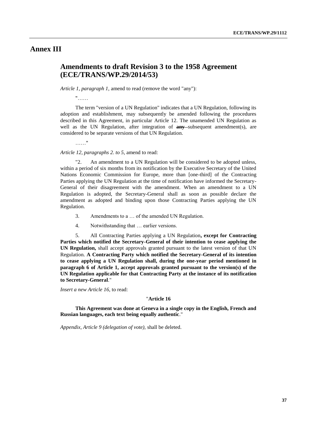### **Annex III**

# <span id="page-36-0"></span>**Amendments to draft Revision 3 to the 1958 Agreement (ECE/TRANS/WP.29/2014/53)**

*Article 1, paragraph 1, amend to read (remove the word "any"):* 

"……

The term "version of a UN Regulation" indicates that a UN Regulation, following its adoption and establishment, may subsequently be amended following the procedures described in this Agreement, in particular Article 12. The unamended UN Regulation as well as the UN Regulation, after integration of **any** subsequent amendment(s), are considered to be separate versions of that UN Regulation.

.<br>. . . . . . "

*Article 12, paragraphs 2. to 5,* amend to read:

"2. An amendment to a UN Regulation will be considered to be adopted unless, within a period of six months from its notification by the Executive Secretary of the United Nations Economic Commission for Europe, more than [one-third] of the Contracting Parties applying the UN Regulation at the time of notification have informed the Secretary-General of their disagreement with the amendment. When an amendment to a UN Regulation is adopted, the Secretary-General shall as soon as possible declare the amendment as adopted and binding upon those Contracting Parties applying the UN Regulation.

- 3. Amendments to a … of the amended UN Regulation.
- 4. Notwithstanding that … earlier versions.

5. All Contracting Parties applying a UN Regulation**, except for Contracting Parties which notified the Secretary-General of their intention to cease applying the UN Regulation,** shall accept approvals granted pursuant to the latest version of that UN Regulation. **A Contracting Party which notified the Secretary-General of its intention to cease applying a UN Regulation shall, during the one-year period mentioned in paragraph 6 of Article 1, accept approvals granted pursuant to the version(s) of the UN Regulation applicable for that Contracting Party at the instance of its notification to Secretary-General**."

*Insert a new Article 16*, to read:

#### "**Article 16**

**This Agreement was done at Geneva in a single copy in the English, French and Russian languages, each text being equally authentic**."

*Appendix, Article 9 (delegation of vote),* shall be deleted.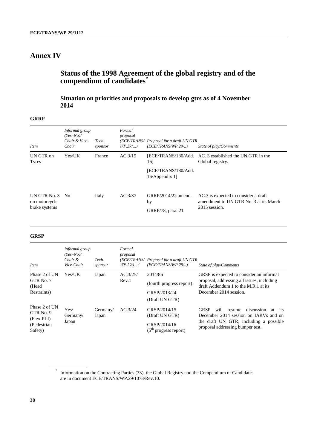# **Annex IV**

# <span id="page-37-0"></span>**Status of the 1998 Agreement of the global registry and of the compendium of candidates\***

# <span id="page-37-1"></span>**Situation on priorities and proposals to develop gtrs as of 4 November 2014**

#### **GRRF**

| <i>Item</i>                                       | Informal group<br>$(Yes-No)$<br>Chair & Vice-<br>Chair | Tech.<br>sponsor | Formal<br>proposal<br>$WP.29$ | (ECE/TRANS/ Proposal for a draft UN GTR<br>(ECE/TRANS/WP.29/) | State of play/Comments                                                                          |
|---------------------------------------------------|--------------------------------------------------------|------------------|-------------------------------|---------------------------------------------------------------|-------------------------------------------------------------------------------------------------|
| UN GTR on<br>Tyres                                | Yes/UK                                                 | France           | AC.3/15                       | [ECE/TRANS/180/Add.<br>16]                                    | AC. 3 established the UN GTR in the<br>Global registry.                                         |
|                                                   |                                                        |                  |                               | [ECE/TRANS/180/Add.<br>16/Appendix 1                          |                                                                                                 |
| UN GTR No. 3 No<br>on motorcycle<br>brake systems |                                                        | Italy            | AC.3/37                       | GRRF/2014/22 amend.<br>by<br>GRRF/78, para. 21                | AC.3 is expected to consider a draft<br>amendment to UN GTR No. 3 at its March<br>2015 session. |

#### **GRSP**

| <i>Item</i>                                                           | Informal group<br>$(Yes-No)$<br>Chair &<br>Vice-Chair | Tech.<br>sponsor  | Formal<br>proposal<br>(ECE/TRANS/<br>$WP.29/$ / | Proposal for a draft UN GTR<br>(ECE/TRANS/WP.29/)                         | State of play/Comments                                                                                                                                                                 |
|-----------------------------------------------------------------------|-------------------------------------------------------|-------------------|-------------------------------------------------|---------------------------------------------------------------------------|----------------------------------------------------------------------------------------------------------------------------------------------------------------------------------------|
| Phase 2 of UN                                                         | Yes/UK                                                | Japan             | AC.3/25/                                        | 2014/86                                                                   | GRSP is expected to consider an informal                                                                                                                                               |
| GTR No. 7<br>(Head                                                    |                                                       |                   | Rev.1                                           | (fourth progress report)                                                  | proposal, addressing all issues, including<br>draft Addendum 1 to the M.R.1 at its                                                                                                     |
| Restraints)                                                           |                                                       |                   |                                                 | GRSP/2013/24                                                              | December 2014 session.                                                                                                                                                                 |
|                                                                       |                                                       |                   |                                                 | (Draft UN GTR)                                                            |                                                                                                                                                                                        |
| Phase 2 of UN<br>GTR No. 9<br>$(Flex-PLI)$<br>(Pedestrian)<br>Safety) | Yes/<br>Germany/<br>Japan                             | Germany/<br>Japan | AC.3/24                                         | GRSP/2014/15<br>(Draft UN GTR)<br>GRSP/2014/16<br>$(5th$ progress report) | <b>GRSP</b><br>discussion<br>will<br>resume<br>at<br><i>its</i><br>December 2014 session on IARVs and on<br>the draft UN GTR, including a possible<br>proposal addressing bumper test. |

<sup>\*</sup> Information on the Contracting Parties (33), the Global Registry and the Compendium of Candidates are in document ECE/TRANS/WP.29/1073/Rev.10.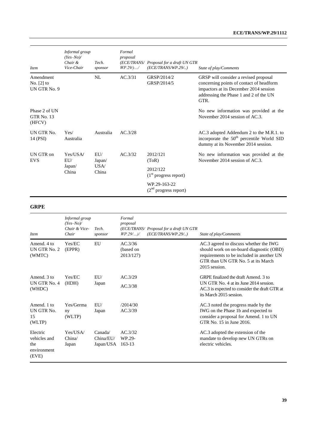| <i>Item</i>                                  | Informal group<br>$(Yes-No)$<br>Chair &<br>Vice-Chair | Tech.<br>sponsor                | Formal<br>proposal<br>$WP.29/$ / | (ECE/TRANS/ Proposal for a draft UN GTR<br>(ECE/TRANS/WP.29/) | State of play/Comments                                                                                                                                                        |
|----------------------------------------------|-------------------------------------------------------|---------------------------------|----------------------------------|---------------------------------------------------------------|-------------------------------------------------------------------------------------------------------------------------------------------------------------------------------|
| Amendment<br>No. $[2]$ to<br>UN GTR No. 9    |                                                       | NL                              | AC.3/31                          | GRSP/2014/2<br>GRSP/2014/5                                    | GRSP will consider a revised proposal<br>concerning points of contact of headform<br>impactors at its December 2014 session<br>addressing the Phase 1 and 2 of the UN<br>GTR. |
| Phase 2 of UN<br><b>GTR No. 13</b><br>(HFCV) |                                                       |                                 |                                  |                                                               | No new information was provided at the<br>November 2014 session of AC.3.                                                                                                      |
| UN GTR No.<br>14 (PSI)                       | Yes/<br>Australia                                     | Australia                       | AC.3/28                          |                                                               | AC.3 adopted Addendum 2 to the M.R.1. to<br>incorporate the 50 <sup>th</sup> percentile World SID<br>dummy at its November 2014 session.                                      |
| UN GTR on<br><b>EVS</b>                      | Yes/USA/<br>EU/<br>Japan/<br>China                    | EUI/<br>Japan/<br>USA/<br>China | AC.3/32                          | 2012/121<br>(ToR)                                             | No new information was provided at the<br>November $2014$ session of AC.3.                                                                                                    |
|                                              |                                                       |                                 |                                  | 2012/122<br>$(1st$ progress report)                           |                                                                                                                                                                               |
|                                              |                                                       |                                 |                                  | WP.29-163-22<br>$(2nd$ progress report)                       |                                                                                                                                                                               |

#### **GRPE**

| <i>Item</i>                                             | Informal group<br>$(Yes-No)$<br>Chair & Vice-<br>Chair | Tech.<br>sponsor                 | Formal<br>proposal<br>(ECE/TRANS/ Proposal for a draft UN GTR<br>$WP.29/$ )/<br>(ECE/TRANS/WP.29/) | State of play/Comments                                                                                                                                                                 |
|---------------------------------------------------------|--------------------------------------------------------|----------------------------------|----------------------------------------------------------------------------------------------------|----------------------------------------------------------------------------------------------------------------------------------------------------------------------------------------|
| Amend. 4 to<br>UN GTR No. 2<br>(WMTC)                   | Yes/EC<br>(EPPR)                                       | EU                               | AC.3/36<br>(based on<br>2013/127)                                                                  | AC.3 agreed to discuss whether the IWG<br>should work on on-board diagnostic (OBD)<br>requirements to be included in another UN<br>GTR than UN GTR No. 5 at its March<br>2015 session. |
| Amend $\overline{3}$ to<br>UN GTR No. 4<br>(WHDC)       | Yes/EC<br>(HDH)                                        | EUI/<br>Japan                    | AC.3/29<br>AC.3/38                                                                                 | GRPE finalized the draft Amend. 3 to<br>UN GTR No. 4 at its June 2014 session.<br>AC.3 is expected to consider the draft GTR at<br>its March 2015 session.                             |
| Amend. 1 to<br>UN GTR No.<br>15<br>(WLTP)               | Yes/Germa<br>ny<br>(WLTP)                              | EII/<br>Japan                    | /2014/30<br>AC.3/39                                                                                | AC.3 noted the progress made by the<br>IWG on the Phase 1b and expected to<br>consider a proposal for Amend. 1 to UN<br>GTR No. 15 in June 2016.                                       |
| Electric<br>vehicles and<br>the<br>environment<br>(EVE) | Yes/USA/<br>China/<br>Japan                            | Canada/<br>China/EI<br>Japan/USA | AC.3/32<br>WP.29-<br>$163-13$                                                                      | AC.3 adopted the extension of the<br>mandate to develop new UN GTRs on<br>electric vehicles.                                                                                           |